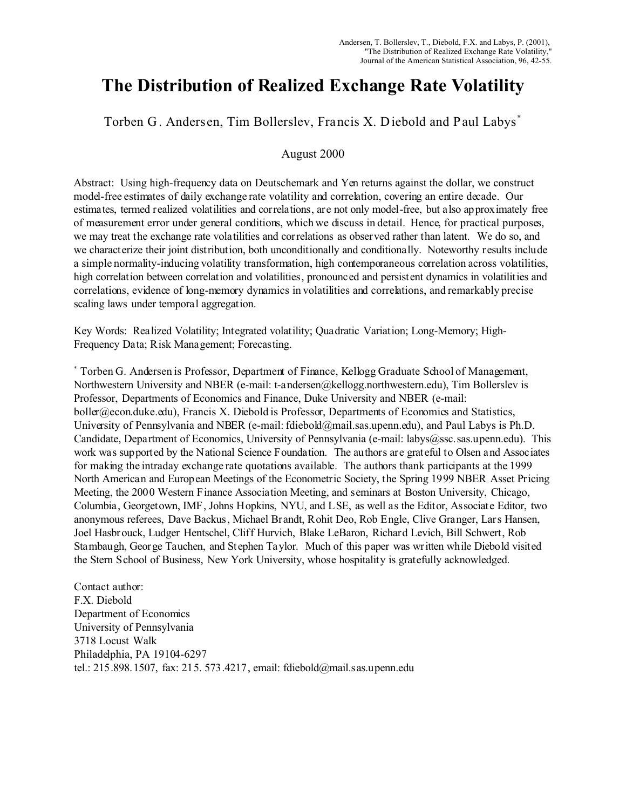# **The Distribution of Realized Exchange Rate Volatility**

Torben G. Andersen, Tim Bollerslev, Francis X. Diebold and Paul Labys\*

## August 2000

Abstract: Using high-frequency data on Deutschemark and Yen returns against the dollar, we construct model-free estimates of daily exchange rate volatility and correlation, covering an entire decade. Our estimates, termed realized volatilities and correlations, are not only model-free, but also approximately free of measurement error under general conditions, which we discuss in detail. Hence, for practical purposes, we may treat the exchange rate volatilities and correlations as observed rather than latent. We do so, and we characterize their joint distribution, both unconditionally and conditionally. Noteworthy results include a simple normality-inducing volatility transformation, high contemporaneous correlation across volatilities, high correlation between correlation and volatilities, pronounced and persistent dynamics in volatilities and correlations, evidence of long-memory dynamics in volatilities and correlations, and remarkably precise scaling laws under temporal aggregation.

Key Words: Realized Volatility; Integrated volatility; Quadratic Variation; Long-Memory; High-Frequency Data; Risk Management; Forecasting.

\* Torben G. Andersen is Professor, Department of Finance, Kellogg Graduate School of Management, Northwestern University and NBER (e-mail: t-andersen@kellogg.northwestern.edu), Tim Bollerslev is Professor, Departments of Economics and Finance, Duke University and NBER (e-mail: boller@econ.duke.edu), Francis X. Diebold is Professor, Departments of Economics and Statistics, University of Pennsylvania and NBER (e-mail: fdiebold@mail.sas.upenn.edu), and Paul Labys is Ph.D. Candidate, Department of Economics, University of Pennsylvania (e-mail: labys@ssc.sas.upenn.edu). This work was supported by the National Science Foundation. The authors are grateful to Olsen and Associates for making the intraday exchange rate quotations available. The authors thank participants at the 1999 North American and European Meetings of the Econometric Society, the Spring 1999 NBER Asset Pricing Meeting, the 2000 Western Finance Association Meeting, and seminars at Boston University, Chicago, Columbia, Georgetown, IMF, Johns Hopkins, NYU, and LSE, as well as the Editor, Associate Editor, two anonymous referees, Dave Backus, Michael Brandt, Rohit Deo, Rob Engle, Clive Granger, Lars Hansen, Joel Hasbrouck, Ludger Hentschel, Cliff Hurvich, Blake LeBaron, Richard Levich, Bill Schwert, Rob Stambaugh, George Tauchen, and Stephen Taylor. Much of this paper was written while Diebold visited the Stern School of Business, New York University, whose hospitality is gratefully acknowledged.

Contact author: F.X. Diebold Department of Economics University of Pennsylvania 3718 Locust Walk Philadelphia, PA 19104-6297 tel.: 215.898.1507, fax: 215. 573.4217, email: fdiebold@mail.sas.upenn.edu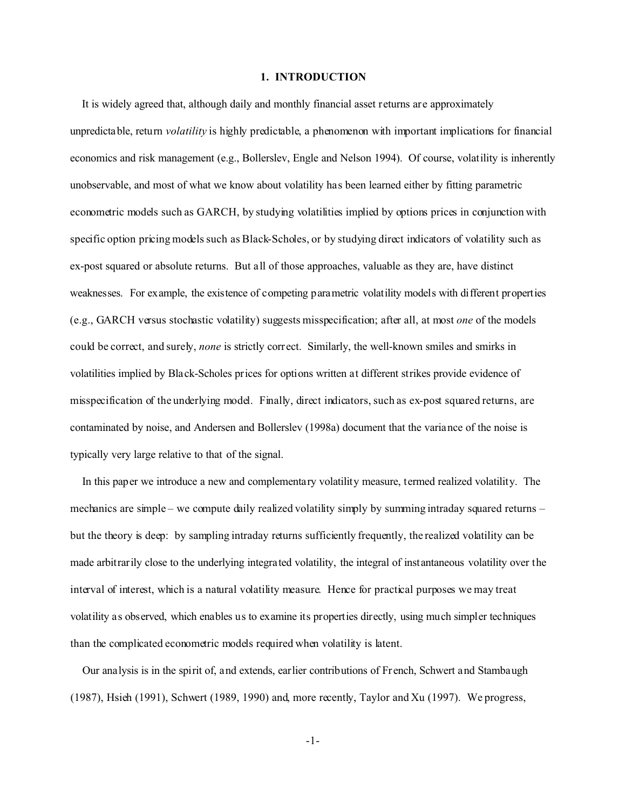#### **1. INTRODUCTION**

 It is widely agreed that, although daily and monthly financial asset returns are approximately unpredictable, return *volatility* is highly predictable, a phenomenon with important implications for financial economics and risk management (e.g., Bollerslev, Engle and Nelson 1994). Of course, volatility is inherently unobservable, and most of what we know about volatility has been learned either by fitting parametric econometric models such as GARCH, by studying volatilities implied by options prices in conjunction with specific option pricing models such as Black-Scholes, or by studying direct indicators of volatility such as ex-post squared or absolute returns. But all of those approaches, valuable as they are, have distinct weaknesses. For example, the existence of competing parametric volatility models with different properties (e.g., GARCH versus stochastic volatility) suggests misspecification; after all, at most *one* of the models could be correct, and surely, *none* is strictly correct. Similarly, the well-known smiles and smirks in volatilities implied by Black-Scholes prices for options written at different strikes provide evidence of misspecification of the underlying model. Finally, direct indicators, such as ex-post squared returns, are contaminated by noise, and Andersen and Bollerslev (1998a) document that the variance of the noise is typically very large relative to that of the signal.

 In this paper we introduce a new and complementary volatility measure, termed realized volatility. The mechanics are simple – we compute daily realized volatility simply by summing intraday squared returns – but the theory is deep: by sampling intraday returns sufficiently frequently, the realized volatility can be made arbitrarily close to the underlying integrated volatility, the integral of instantaneous volatility over the interval of interest, which is a natural volatility measure. Hence for practical purposes we may treat volatility as observed, which enables us to examine its properties directly, using much simpler techniques than the complicated econometric models required when volatility is latent.

 Our analysis is in the spirit of, and extends, earlier contributions of French, Schwert and Stambaugh (1987), Hsieh (1991), Schwert (1989, 1990) and, more recently, Taylor and Xu (1997). We progress,

-1-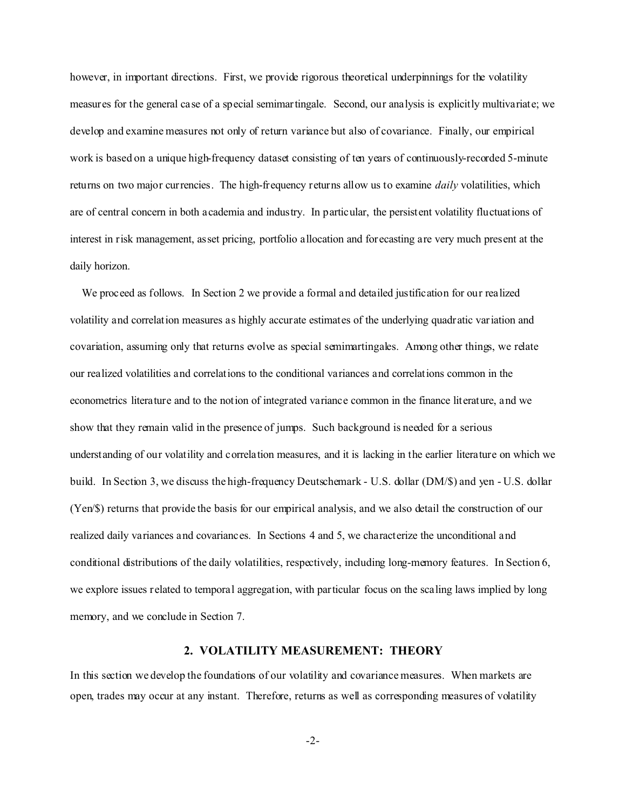however, in important directions. First, we provide rigorous theoretical underpinnings for the volatility measures for the general case of a special semimartingale. Second, our analysis is explicitly multivariate; we develop and examine measures not only of return variance but also of covariance. Finally, our empirical work is based on a unique high-frequency dataset consisting of ten years of continuously-recorded 5-minute returns on two major currencies. The high-frequency returns allow us to examine *daily* volatilities, which are of central concern in both academia and industry. In particular, the persistent volatility fluctuations of interest in risk management, asset pricing, portfolio allocation and forecasting are very much present at the daily horizon.

We proceed as follows. In Section 2 we provide a formal and detailed justification for our realized volatility and correlation measures as highly accurate estimates of the underlying quadratic variation and covariation, assuming only that returns evolve as special semimartingales. Among other things, we relate our realized volatilities and correlations to the conditional variances and correlations common in the econometrics literature and to the notion of integrated variance common in the finance literature, and we show that they remain valid in the presence of jumps. Such background is needed for a serious understanding of our volatility and correlation measures, and it is lacking in the earlier literature on which we build. In Section 3, we discuss the high-frequency Deutschemark - U.S. dollar (DM/\$) and yen - U.S. dollar (Yen/\$) returns that provide the basis for our empirical analysis, and we also detail the construction of our realized daily variances and covariances. In Sections 4 and 5, we characterize the unconditional and conditional distributions of the daily volatilities, respectively, including long-memory features. In Section 6, we explore issues related to temporal aggregation, with particular focus on the scaling laws implied by long memory, and we conclude in Section 7.

#### **2. VOLATILITY MEASUREMENT: THEORY**

In this section we develop the foundations of our volatility and covariance measures. When markets are open, trades may occur at any instant. Therefore, returns as well as corresponding measures of volatility

-2-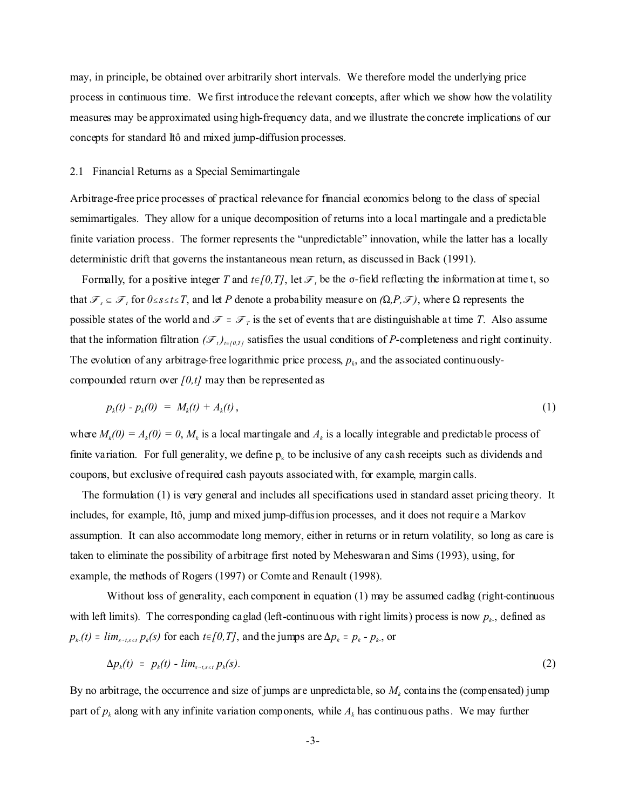may, in principle, be obtained over arbitrarily short intervals. We therefore model the underlying price process in continuous time. We first introduce the relevant concepts, after which we show how the volatility measures may be approximated using high-frequency data, and we illustrate the concrete implications of our concepts for standard Itô and mixed jump-diffusion processes.

## 2.1 Financial Returns as a Special Semimartingale

Arbitrage-free price processes of practical relevance for financial economics belong to the class of special semimartigales. They allow for a unique decomposition of returns into a local martingale and a predictable finite variation process. The former represents the "unpredictable" innovation, while the latter has a locally deterministic drift that governs the instantaneous mean return, as discussed in Back (1991).

Formally, for a positive integer *T* and  $t \in [0, T]$ , let  $\mathcal{F}_t$  be the  $\sigma$ -field reflecting the information at time t, so that  $\mathcal{F}_s \subseteq \mathcal{F}_t$  for  $0 \le s \le t \le T$ , and let P denote a probability measure on  $(\Omega, P, \mathcal{F})$ , where  $\Omega$  represents the possible states of the world and  $\mathcal{F} = \mathcal{F}_T$  is the set of events that are distinguishable at time *T*. Also assume that the information filtration  $(\mathcal{F}_t)_{t \in [0,T]}$  satisfies the usual conditions of *P*-completeness and right continuity. The evolution of any arbitrage-free logarithmic price process,  $p_k$ , and the associated continuouslycompounded return over *[0,t]* may then be represented as

$$
p_k(t) - p_k(0) = M_k(t) + A_k(t), \qquad (1)
$$

where  $M_k(0) = A_k(0) = 0$ ,  $M_k$  is a local martingale and  $A_k$  is a locally integrable and predictable process of finite variation. For full generality, we define  $p_k$  to be inclusive of any cash receipts such as dividends and coupons, but exclusive of required cash payouts associated with, for example, margin calls.

 The formulation (1) is very general and includes all specifications used in standard asset pricing theory. It includes, for example, Itô, jump and mixed jump-diffusion processes, and it does not require a Markov assumption. It can also accommodate long memory, either in returns or in return volatility, so long as care is taken to eliminate the possibility of arbitrage first noted by Meheswaran and Sims (1993), using, for example, the methods of Rogers (1997) or Comte and Renault (1998).

Without loss of generality, each component in equation (1) may be assumed cadlag (right-continuous with left limits). The corresponding caglad (left-continuous with right limits) process is now  $p_k$ , defined as  $p_k(t) = lim_{s-t, s \le t} p_k(s)$  for each  $t \in [0, T]$ , and the jumps are  $\Delta p_k = p_k - p_k$ , or

$$
\Delta p_k(t) = p_k(t) - \lim_{s \to t, s \le t} p_k(s). \tag{2}
$$

By no arbitrage, the occurrence and size of jumps are unpredictable, so  $M_k$  contains the (compensated) jump part of  $p_k$  along with any infinite variation components, while  $A_k$  has continuous paths. We may further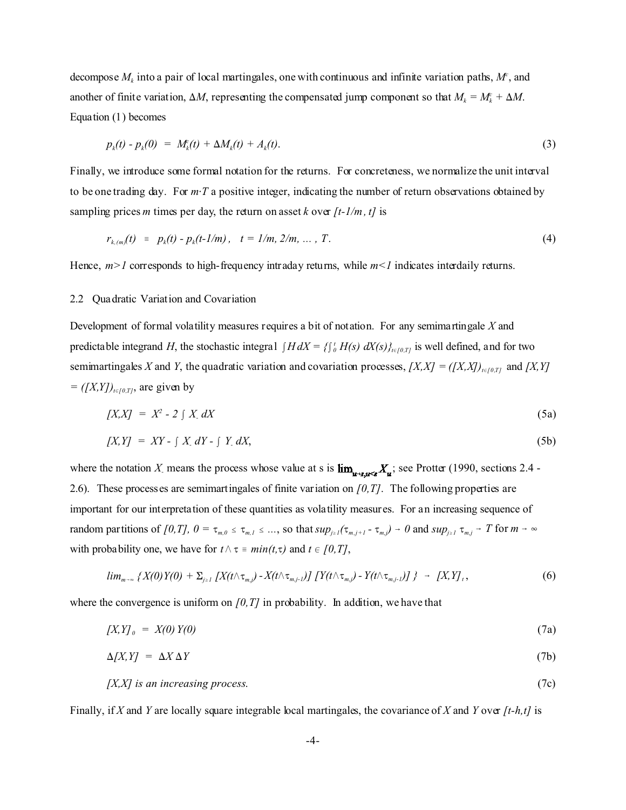decompose  $M_k$  into a pair of local martingales, one with continuous and infinite variation paths,  $M<sup>c</sup>$ , and another of finite variation,  $\Delta M$ , representing the compensated jump component so that  $M_k = M_k^c + \Delta M$ . Equation (1) becomes

$$
p_k(t) - p_k(0) = M_k^c(t) + \Delta M_k(t) + A_k(t). \tag{3}
$$

Finally, we introduce some formal notation for the returns. For concreteness, we normalize the unit interval to be one trading day. For  $m \cdot T$  a positive integer, indicating the number of return observations obtained by sampling prices *m* times per day, the return on asset *k* over  $[t-1/m, t]$  is

$$
r_{k,(m)}(t) = p_k(t) - p_k(t-1/m), \quad t = 1/m, 2/m, \ldots, T. \tag{4}
$$

Hence,  $m>1$  corresponds to high-frequency intraday returns, while  $m<1$  indicates interdaily returns.

#### 2.2 Quadratic Variation and Covariation

Development of formal volatility measures requires a bit of notation. For any semimartingale *X* and predictable integrand *H*, the stochastic integral  $\int H dX = \int_{0}^{t} H(s) dX(s)\int_{t \in [0,T]}$  is well defined, and for two semimartingales *X* and *Y*, the quadratic variation and covariation processes,  $[XX] = ([X,X])_{t \in [0,T]}$  and  $[X,Y]$  $=([X,Y])_{t\in[0,T]}$ , are given by

$$
[X,X] = X^2 - 2 \int X \, dX \tag{5a}
$$

$$
[X,Y] = XY - \int X dY - \int Y dX,\tag{5b}
$$

where the notation X means the process whose value at s is  $\lim_{u \to \infty} X_u$ ; see Protter (1990, sections 2.4 -2.6). These processes are semimartingales of finite variation on *[0,T]*. The following properties are important for our interpretation of these quantities as volatility measures. For an increasing sequence of random partitions of [0,T],  $0 = \tau_{m,0} \leq \tau_{m,1} \leq ...$ , so that  $sup_{j\geq 1}(\tau_{m,j+1} - \tau_{m,j}) \to 0$  and  $sup_{j\geq 1} \tau_{m,j} \to T$  for  $m \to \infty$ with probability one, we have for  $t \wedge \tau = min(t, \tau)$  and  $t \in [0, T]$ ,

$$
\lim_{m\to\infty}\left\{X(0)Y(0)+\Sigma_{j\geq 1}\left[X(t\wedge\tau_{m,j})-X(t\wedge\tau_{m,j-1})\right]\left[Y(t\wedge\tau_{m,j})-Y(t\wedge\tau_{m,j-1})\right]\right\}\;\rightarrow\; \left[X,Y\right],\tag{6}
$$

where the convergence is uniform on  $(0, T)$  in probability. In addition, we have that

 $[X,Y]_0 = X(0)Y(0)$  (7a)

$$
\Delta[X,Y] = \Delta X \Delta Y \tag{7b}
$$

$$
[X,X]
$$
 is an increasing process. (7c)

Finally, if *X* and *Y* are locally square integrable local martingales, the covariance of *X* and *Y* over *[t-h,t]* is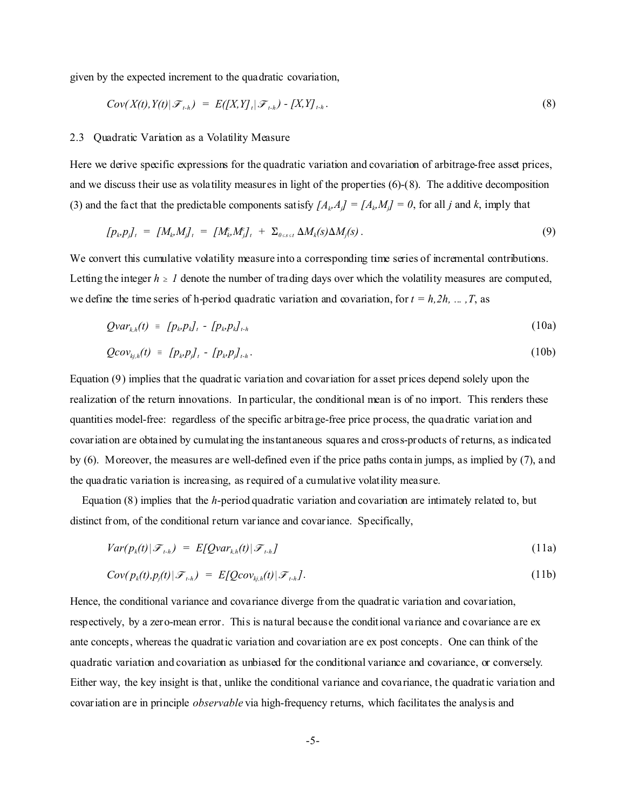given by the expected increment to the quadratic covariation,

$$
Cov(X(t), Y(t)|\mathcal{F}_{t-h}) = E([X, Y]_t|\mathcal{F}_{t-h}) - [X, Y]_{t-h}.
$$
\n
$$
(8)
$$

## 2.3 Quadratic Variation as a Volatility Measure

Here we derive specific expressions for the quadratic variation and covariation of arbitrage-free asset prices, and we discuss their use as volatility measures in light of the properties (6)-(8). The additive decomposition (3) and the fact that the predictable components satisfy  $[A_k, A_j] = [A_k, M_j] = 0$ , for all *j* and *k*, imply that

$$
[p_k p_j]_t = [M_k M_j]_t = [M_k M_j]_t + \Sigma_{0 \le s \le t} \Delta M_k(s) \Delta M_j(s).
$$
\n(9)

We convert this cumulative volatility measure into a corresponding time series of incremental contributions. Letting the integer  $h \geq 1$  denote the number of trading days over which the volatility measures are computed, we define the time series of h-period quadratic variation and covariation, for  $t = h, 2h, ..., T$ , as

$$
Qvar_{k,h}(t) = [p_k p_k]_t - [p_k p_k]_{t-h}
$$
\n(10a)

$$
Qcov_{kj,h}(t) = [p_k, p_j]_t - [p_k, p_j]_{t+h}.
$$
\n
$$
(10b)
$$

Equation (9) implies that the quadratic variation and covariation for asset prices depend solely upon the realization of the return innovations. In particular, the conditional mean is of no import. This renders these quantities model-free: regardless of the specific arbitrage-free price process, the quadratic variation and covariation are obtained by cumulating the instantaneous squares and cross-products of returns, as indicated by (6). Moreover, the measures are well-defined even if the price paths contain jumps, as implied by (7), and the quadratic variation is increasing, as required of a cumulative volatility measure.

 Equation (8) implies that the *h*-period quadratic variation and covariation are intimately related to, but distinct from, of the conditional return variance and covariance. Specifically,

$$
Var(p_k(t)|\mathcal{F}_{t,h}) = E[Qvar_{k,h}(t)|\mathcal{F}_{t,h}]
$$
\n(11a)

$$
Cov(p_k(t), p_j(t)|\mathcal{F}_{t+h}) = E[Qcov_{kj,h}(t)|\mathcal{F}_{t+h}].
$$
\n(11b)

Hence, the conditional variance and covariance diverge from the quadratic variation and covariation, respectively, by a zero-mean error. This is natural because the conditional variance and covariance are ex ante concepts, whereas the quadratic variation and covariation are ex post concepts. One can think of the quadratic variation and covariation as unbiased for the conditional variance and covariance, or conversely. Either way, the key insight is that, unlike the conditional variance and covariance, the quadratic variation and covariation are in principle *observable* via high-frequency returns, which facilitates the analysis and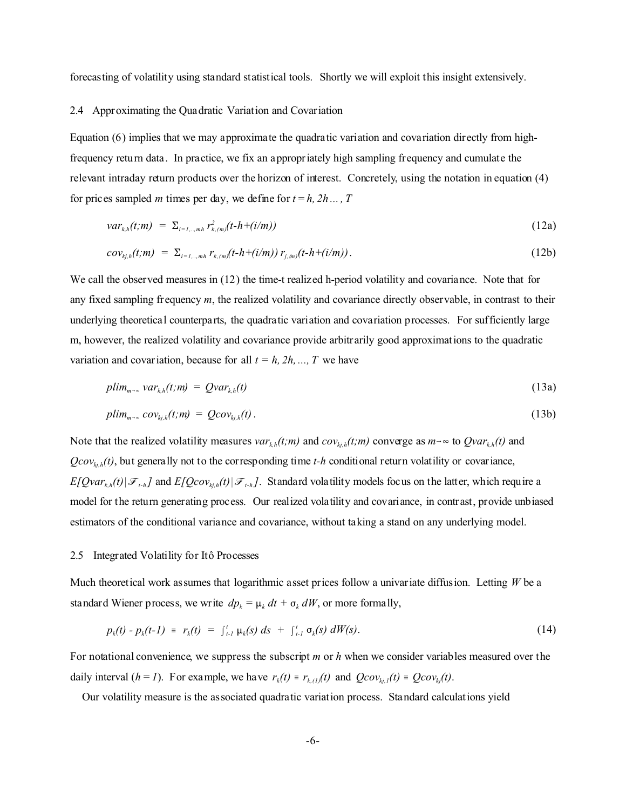forecasting of volatility using standard statistical tools. Shortly we will exploit this insight extensively.

#### 2.4 Approximating the Quadratic Variation and Covariation

Equation (6) implies that we may approximate the quadratic variation and covariation directly from highfrequency return data. In practice, we fix an appropriately high sampling frequency and cumulate the relevant intraday return products over the horizon of interest. Concretely, using the notation in equation (4) for prices sampled *m* times per day, we define for  $t = h$ ,  $2h$ ...,  $T$ 

$$
var_{k,h}(t;m) = \sum_{i=1,...,m} \frac{r_{k,m}(t-h+(i/m))}{r_{k,m}(t-h+(i/m))}
$$
 (12a)

$$
cov_{kj,h}(t;m) = \Sigma_{i=1,\dots,mh} r_{k,(m)}(t-h+(i/m)) r_{j,(m)}(t-h+(i/m)). \qquad (12b)
$$

We call the observed measures in (12) the time-t realized h-period volatility and covariance. Note that for any fixed sampling frequency *m*, the realized volatility and covariance directly observable, in contrast to their underlying theoretical counterparts, the quadratic variation and covariation processes. For sufficiently large m, however, the realized volatility and covariance provide arbitrarily good approximations to the quadratic variation and covariation, because for all  $t = h$ ,  $2h$ , ..., *T* we have

$$
plim_{m\to\infty} var_{k,h}(t;m) = Qvar_{k,h}(t)
$$
\n(13a)

$$
plim_{m\to\infty} cov_{kj,h}(t;m) = Qcov_{kj,h}(t).
$$
\n(13b)

Note that the realized volatility measures  $var_{k,h}(t;m)$  and  $cov_{k,h}(t;m)$  converge as  $m \rightarrow \infty$  to  $Quar_{k,h}(t)$  and  $Qcov_{k,i}$ <sup> $(t)$ </sup>, but generally not to the corresponding time *t-h* conditional return volatility or covariance,  $E[Quar_{k,h}(t)|\mathcal{F}_{t,h}]$  and  $E[Qcov_{k,h}(t)|\mathcal{F}_{t,h}]$ . Standard volatility models focus on the latter, which require a model for the return generating process. Our realized volatility and covariance, in contrast, provide unbiased estimators of the conditional variance and covariance, without taking a stand on any underlying model.

#### 2.5 Integrated Volatility for Itô Processes

Much theoretical work assumes that logarithmic asset prices follow a univariate diffusion. Letting *W* be a standard Wiener process, we write  $dp_k = \mu_k dt + \sigma_k dW$ , or more formally,

$$
p_k(t) - p_k(t-1) = r_k(t) = \int_{t-1}^t \mu_k(s) \, ds + \int_{t-1}^t \sigma_k(s) \, dW(s). \tag{14}
$$

For notational convenience, we suppress the subscript *m* or *h* when we consider variables measured over the daily interval  $(h = 1)$ . For example, we have  $r_k(t) = r_{k,(1)}(t)$  and  $Qcov_{k,j}(t) = Qcov_{k,j}(t)$ .

Our volatility measure is the associated quadratic variation process. Standard calculations yield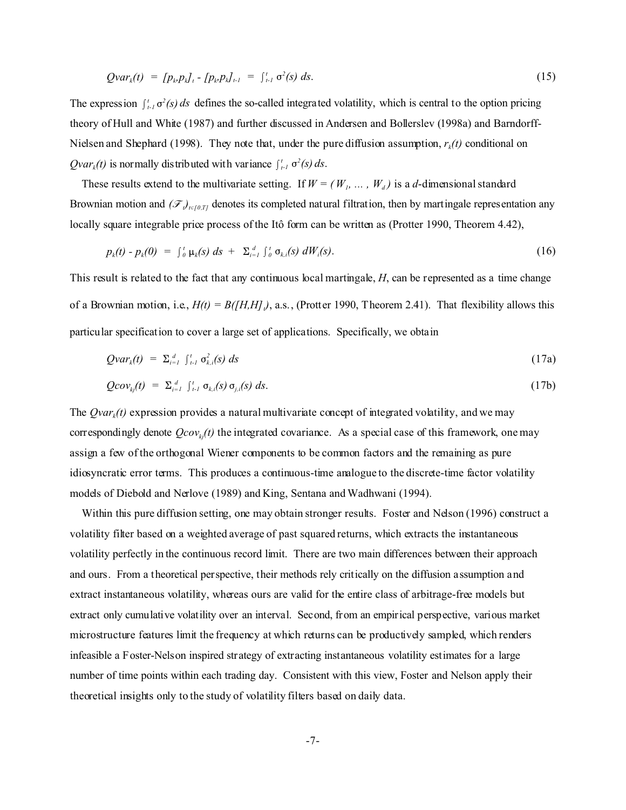$$
Qvar_k(t) = [p_k p_k]_t - [p_k p_k]_{t-1} = \int_{t-1}^t \sigma^2(s) \, ds. \tag{15}
$$

The expression  $\int_{t}^{t} \sigma^2(s) ds$  defines the so-called integrated volatility, which is central to the option pricing theory of Hull and White (1987) and further discussed in Andersen and Bollerslev (1998a) and Barndorff-Nielsen and Shephard (1998). They note that, under the pure diffusion assumption, *r<sup>k</sup> (t)* conditional on *Qvar<sub>k</sub>*(*t*) is normally distributed with variance  $\int_{t-1}^{t} \sigma^2(s) ds$ .

These results extend to the multivariate setting. If  $W = (W_1, \ldots, W_d)$  is a *d*-dimensional standard Brownian motion and  $(\mathcal{F})_{t \in [0,T]}$  denotes its completed natural filtration, then by martingale representation any locally square integrable price process of the Itô form can be written as (Protter 1990, Theorem 4.42),

$$
p_k(t) - p_k(0) = \int_0^t \mu_k(s) \, ds + \sum_{i=1}^d \int_0^t \sigma_{k,i}(s) \, dW_i(s). \tag{16}
$$

This result is related to the fact that any continuous local martingale, *H*, can be represented as a time change of a Brownian motion, i.e.,  $H(t) = B(H, H, I)$ , a.s., (Protter 1990, Theorem 2.41). That flexibility allows this particular specification to cover a large set of applications. Specifically, we obtain

$$
Qvar_k(t) = \sum_{i=1}^d \int_{t-1}^t \sigma_{k,i}^2(s) \, ds \tag{17a}
$$

$$
Qcov_{kj}(t) = \sum_{i=1}^d \int_{t-1}^t \sigma_{k,i}(s) \sigma_{j,i}(s) ds. \qquad (17b)
$$

The *Qvar<sub>k</sub>*(*t*) expression provides a natural multivariate concept of integrated volatility, and we may correspondingly denote *Qcovkj(t)* the integrated covariance. As a special case of this framework, one may assign a few of the orthogonal Wiener components to be common factors and the remaining as pure idiosyncratic error terms. This produces a continuous-time analogue to the discrete-time factor volatility models of Diebold and Nerlove (1989) and King, Sentana and Wadhwani (1994).

 Within this pure diffusion setting, one may obtain stronger results. Foster and Nelson (1996) construct a volatility filter based on a weighted average of past squared returns, which extracts the instantaneous volatility perfectly in the continuous record limit. There are two main differences between their approach and ours. From a theoretical perspective, their methods rely critically on the diffusion assumption and extract instantaneous volatility, whereas ours are valid for the entire class of arbitrage-free models but extract only cumulative volatility over an interval. Second, from an empirical perspective, various market microstructure features limit the frequency at which returns can be productively sampled, which renders infeasible a Foster-Nelson inspired strategy of extracting instantaneous volatility estimates for a large number of time points within each trading day. Consistent with this view, Foster and Nelson apply their theoretical insights only to the study of volatility filters based on daily data.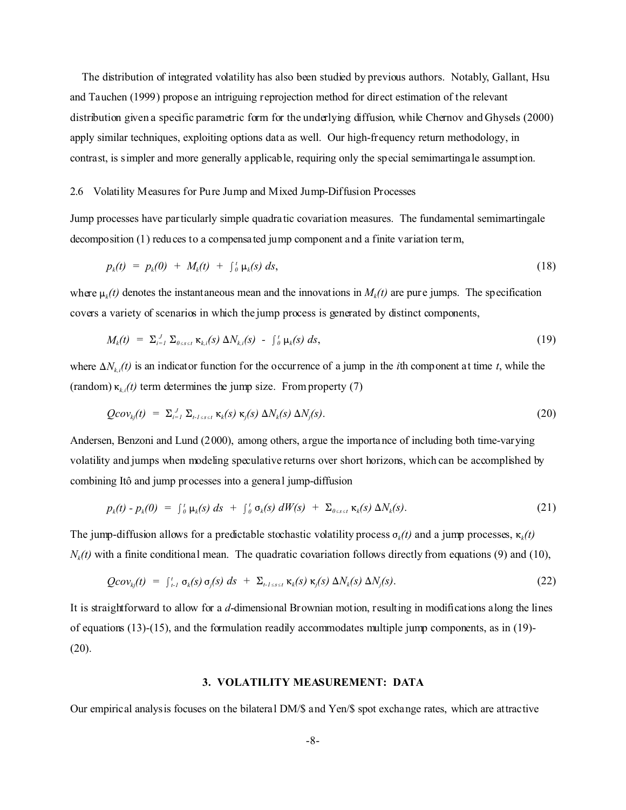The distribution of integrated volatility has also been studied by previous authors. Notably, Gallant, Hsu and Tauchen (1999) propose an intriguing reprojection method for direct estimation of the relevant distribution given a specific parametric form for the underlying diffusion, while Chernov and Ghysels (2000) apply similar techniques, exploiting options data as well. Our high-frequency return methodology, in contrast, is simpler and more generally applicable, requiring only the special semimartingale assumption.

## 2.6 Volatility Measures for Pure Jump and Mixed Jump-Diffusion Processes

Jump processes have particularly simple quadratic covariation measures. The fundamental semimartingale decomposition (1) reduces to a compensated jump component and a finite variation term,

$$
p_k(t) = p_k(0) + M_k(t) + \int_0^t \mu_k(s) \, ds, \tag{18}
$$

where  $\mu_k(t)$  denotes the instantaneous mean and the innovations in  $M_k(t)$  are pure jumps. The specification covers a variety of scenarios in which the jump process is generated by distinct components,

$$
M_k(t) = \Sigma_{i=1}^J \Sigma_{0 \leq s \leq t} \kappa_{k,i}(s) \Delta N_{k,i}(s) - \int_0^t \mu_k(s) \ ds,
$$
\n(19)

where  $\Delta N_{k,i}(t)$  is an indicator function for the occurrence of a jump in the *i*th component at time *t*, while the (random)  $\kappa_{k,i}(t)$  term determines the jump size. From property (7)

$$
Qcov_{kj}(t) = \sum_{i=1}^{J} \sum_{t \text{ is set } K_k(s) \text{ K}_j(s) \Delta N_k(s) \Delta N_j(s). \tag{20}
$$

Andersen, Benzoni and Lund (2000), among others, argue the importance of including both time-varying volatility and jumps when modeling speculative returns over short horizons, which can be accomplished by combining Itô and jump processes into a general jump-diffusion

$$
p_k(t) - p_k(0) = \int_0^t \mu_k(s) \, ds + \int_0^t \sigma_k(s) \, dW(s) + \Sigma_{0 \leq s \leq t} \kappa_k(s) \, \Delta N_k(s). \tag{21}
$$

The jump-diffusion allows for a predictable stochastic volatility process  $\sigma_k(t)$  and a jump processes,  $\kappa_k(t)$  $N_k(t)$  with a finite conditional mean. The quadratic covariation follows directly from equations (9) and (10),

$$
Qcov_{kj}(t) = \int_{t-1}^{t} \sigma_k(s) \sigma_j(s) \, ds + \Sigma_{t-1 \leq s \leq t} \kappa_k(s) \kappa_j(s) \, \Delta N_k(s) \, \Delta N_j(s). \tag{22}
$$

It is straightforward to allow for a *d*-dimensional Brownian motion, resulting in modifications along the lines of equations (13)-(15), and the formulation readily accommodates multiple jump components, as in (19)-  $(20).$ 

## **3. VOLATILITY MEASUREMENT: DATA**

Our empirical analysis focuses on the bilateral DM/\$ and Yen/\$ spot exchange rates, which are attractive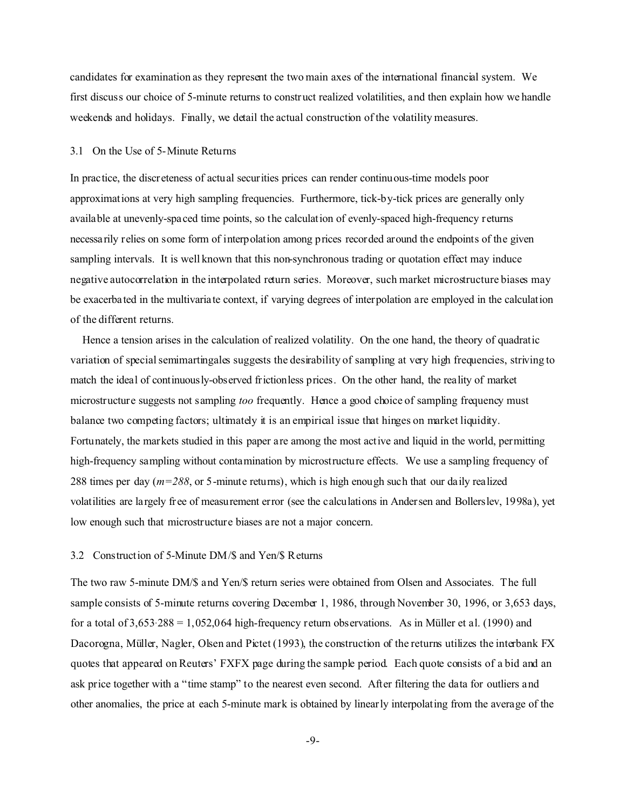candidates for examination as they represent the two main axes of the international financial system. We first discuss our choice of 5-minute returns to construct realized volatilities, and then explain how we handle weekends and holidays. Finally, we detail the actual construction of the volatility measures.

## 3.1 On the Use of 5-Minute Returns

In practice, the discreteness of actual securities prices can render continuous-time models poor approximations at very high sampling frequencies. Furthermore, tick-by-tick prices are generally only available at unevenly-spaced time points, so the calculation of evenly-spaced high-frequency returns necessarily relies on some form of interpolation among prices recorded around the endpoints of the given sampling intervals. It is well known that this non-synchronous trading or quotation effect may induce negative autocorrelation in the interpolated return series. Moreover, such market microstructure biases may be exacerbated in the multivariate context, if varying degrees of interpolation are employed in the calculation of the different returns.

 Hence a tension arises in the calculation of realized volatility. On the one hand, the theory of quadratic variation of special semimartingales suggests the desirability of sampling at very high frequencies, striving to match the ideal of continuously-observed frictionless prices. On the other hand, the reality of market microstructure suggests not sampling *too* frequently. Hence a good choice of sampling frequency must balance two competing factors; ultimately it is an empirical issue that hinges on market liquidity. Fortunately, the markets studied in this paper are among the most active and liquid in the world, permitting high-frequency sampling without contamination by microstructure effects. We use a sampling frequency of 288 times per day (*m=288*, or 5-minute returns), which is high enough such that our daily realized volatilities are largely free of measurement error (see the calculations in Andersen and Bollerslev, 1998a), yet low enough such that microstructure biases are not a major concern.

## 3.2 Construction of 5-Minute DM/\$ and Yen/\$ Returns

The two raw 5-minute DM/\$ and Yen/\$ return series were obtained from Olsen and Associates. The full sample consists of 5-minute returns covering December 1, 1986, through November 30, 1996, or 3,653 days, for a total of  $3,653.288 = 1,052,064$  high-frequency return observations. As in Müller et al. (1990) and Dacorogna, Müller, Nagler, Olsen and Pictet (1993), the construction of the returns utilizes the interbank FX quotes that appeared on Reuters' FXFX page during the sample period. Each quote consists of a bid and an ask price together with a "time stamp" to the nearest even second. After filtering the data for outliers and other anomalies, the price at each 5-minute mark is obtained by linearly interpolating from the average of the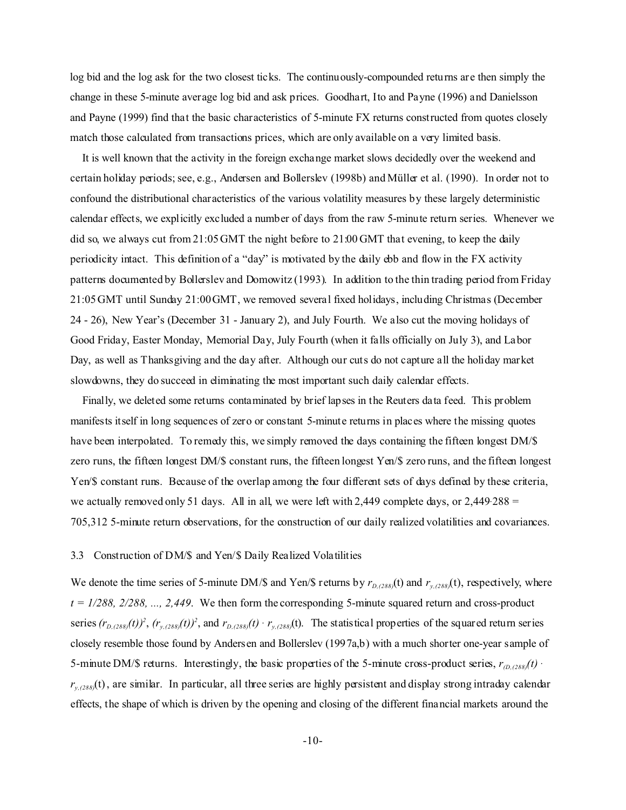log bid and the log ask for the two closest ticks. The continuously-compounded returns are then simply the change in these 5-minute average log bid and ask prices. Goodhart, Ito and Payne (1996) and Danielsson and Payne (1999) find that the basic characteristics of 5-minute FX returns constructed from quotes closely match those calculated from transactions prices, which are only available on a very limited basis.

 It is well known that the activity in the foreign exchange market slows decidedly over the weekend and certain holiday periods; see, e.g., Andersen and Bollerslev (1998b) and Müller et al. (1990). In order not to confound the distributional characteristics of the various volatility measures by these largely deterministic calendar effects, we explicitly excluded a number of days from the raw 5-minute return series. Whenever we did so, we always cut from 21:05GMT the night before to 21:00 GMT that evening, to keep the daily periodicity intact. This definition of a "day" is motivated by the daily ebb and flow in the FX activity patterns documented by Bollerslev and Domowitz (1993). In addition to the thin trading period from Friday 21:05GMT until Sunday 21:00GMT, we removed several fixed holidays, including Christmas (December 24 - 26), New Year's (December 31 - January 2), and July Fourth. We also cut the moving holidays of Good Friday, Easter Monday, Memorial Day, July Fourth (when it falls officially on July 3), and Labor Day, as well as Thanksgiving and the day after. Although our cuts do not capture all the holiday market slowdowns, they do succeed in eliminating the most important such daily calendar effects.

 Finally, we deleted some returns contaminated by brief lapses in the Reuters data feed. This problem manifests itself in long sequences of zero or constant 5-minute returns in places where the missing quotes have been interpolated. To remedy this, we simply removed the days containing the fifteen longest DM/\$ zero runs, the fifteen longest DM/\$ constant runs, the fifteen longest Yen/\$ zero runs, and the fifteen longest Yen/\$ constant runs. Because of the overlap among the four different sets of days defined by these criteria, we actually removed only 51 days. All in all, we were left with 2,449 complete days, or  $2,449.288 =$ 705,312 5-minute return observations, for the construction of our daily realized volatilities and covariances.

#### 3.3 Construction of DM/\$ and Yen/\$ Daily Realized Volatilities

We denote the time series of 5-minute DM/\$ and Yen/\$ returns by  $r_{D,(288)}(t)$  and  $r_{y,(288)}(t)$ , respectively, where  $t = 1/288, 2/288, \ldots, 2,449$ . We then form the corresponding 5-minute squared return and cross-product series  $(r_{D,(288)}(t))^2$ ,  $(r_{y,(288)}(t))^2$ , and  $r_{D,(288)}(t) \cdot r_{y,(288)}(t)$ . The statistical properties of the squared return series closely resemble those found by Andersen and Bollerslev (1997a,b) with a much shorter one-year sample of 5-minute DM/\$ returns. Interestingly, the basic properties of the 5-minute cross-product series,  $r_{(D,(288))}(t)$  $r_{y,(288)}(t)$ , are similar. In particular, all three series are highly persistent and display strong intraday calendar effects, the shape of which is driven by the opening and closing of the different financial markets around the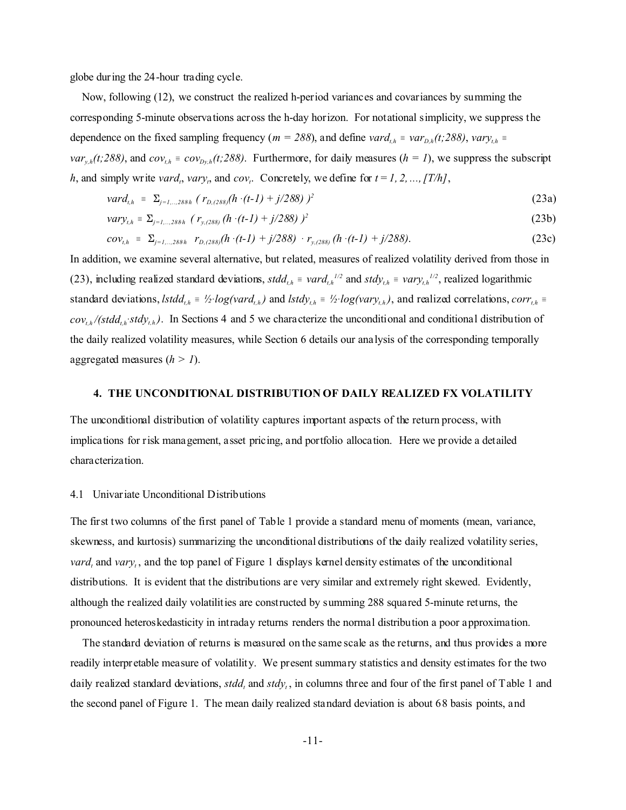globe during the 24-hour trading cycle.

 Now, following (12), we construct the realized h-period variances and covariances by summing the corresponding 5-minute observations across the h-day horizon. For notational simplicity, we suppress the dependence on the fixed sampling frequency ( $m = 288$ ), and define *vard*<sub>*t,h*</sub> = *var*<sub>*D,h</sub>*(*t*;288), *vary*<sub>*t,h*</sub> =</sub>  $var_{y,h}(t;288)$ , and  $cov_{t,h} = cov_{Dy,h}(t;288)$ . Furthermore, for daily measures (*h = 1*), we suppress the subscript *h*, and simply write *vard<sub>t</sub>*, *vary<sub>i</sub>*, and *cov<sub>i</sub>*. Concretely, we define for  $t = 1, 2, ..., [T/h]$ ,

$$
vard_{i,h} = \Sigma_{j=1,\dots,288h} (r_{D,(288)}(h\cdot (t-1) + j/288))^{2}
$$
 (23a)

$$
vary_{t,h} = \Sigma_{j=t,\dots,288h} (r_{y,(288)} (h \cdot (t-1) + j/288))^{2}
$$
 (23b)

$$
cov_{t,h} = \Sigma_{j=1,\dots,288h} r_{D,(288)}(h \cdot (t-1) + j/288) \cdot r_{y,(288)}(h \cdot (t-1) + j/288). \tag{23c}
$$

In addition, we examine several alternative, but related, measures of realized volatility derived from those in (23), including realized standard deviations,  $std_{t,h} = \nu \cdot \frac{1}{2}$  and  $std_{t,h} = \nu \cdot \frac{1}{2}$ , realized logarithmic standard deviations,  $lstdd_{i,h} = \frac{1}{2} log(vard_{i,h})$  and  $lstdy_{i,h} = \frac{1}{2} log(vary_{i,h})$ , and realized correlations,  $corr_{i,h}$  $cov_{t,h}/(std_{t,h}^*std_{t,h})$ . In Sections 4 and 5 we characterize the unconditional and conditional distribution of the daily realized volatility measures, while Section 6 details our analysis of the corresponding temporally aggregated measures (*h > 1*).

## **4. THE UNCONDITIONAL DISTRIBUTION OF DAILY REALIZED FX VOLATILITY**

The unconditional distribution of volatility captures important aspects of the return process, with implications for risk management, asset pricing, and portfolio allocation. Here we provide a detailed characterization.

#### 4.1 Univariate Unconditional Distributions

The first two columns of the first panel of Table 1 provide a standard menu of moments (mean, variance, skewness, and kurtosis) summarizing the unconditional distributions of the daily realized volatility series, *vard<sub>t</sub>* and *vary<sub>t</sub>*, and the top panel of Figure 1 displays kernel density estimates of the unconditional distributions. It is evident that the distributions are very similar and extremely right skewed. Evidently, although the realized daily volatilities are constructed by summing 288 squared 5-minute returns, the pronounced heteroskedasticity in intraday returns renders the normal distribution a poor approximation.

 The standard deviation of returns is measured on the same scale as the returns, and thus provides a more readily interpretable measure of volatility. We present summary statistics and density estimates for the two daily realized standard deviations, *stdd<sub>t</sub>* and *stdy<sub>t</sub>*, in columns three and four of the first panel of Table 1 and the second panel of Figure 1. The mean daily realized standard deviation is about 68 basis points, and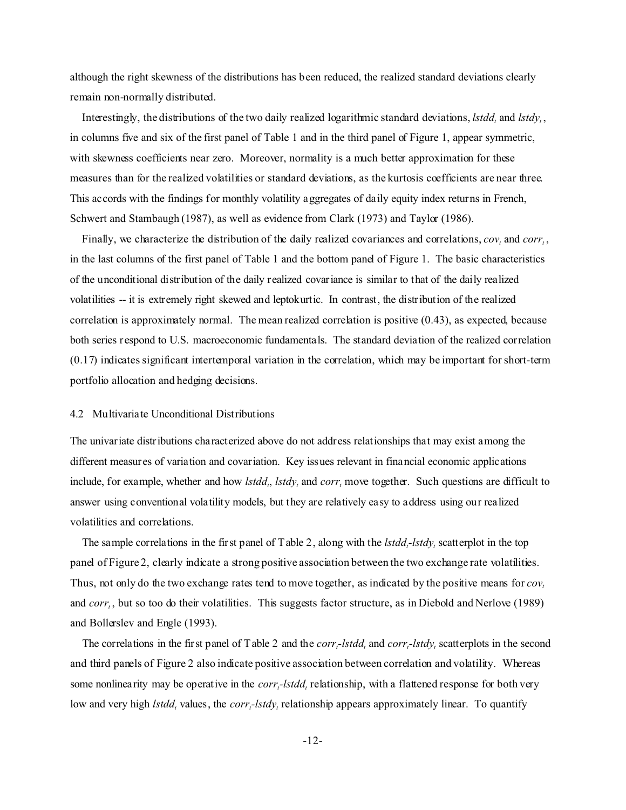although the right skewness of the distributions has been reduced, the realized standard deviations clearly remain non-normally distributed.

Interestingly, the distributions of the two daily realized logarithmic standard deviations, *lstdd<sub>t</sub>* and *lstdy<sub>t</sub>*, in columns five and six of the first panel of Table 1 and in the third panel of Figure 1, appear symmetric, with skewness coefficients near zero. Moreover, normality is a much better approximation for these measures than for the realized volatilities or standard deviations, as the kurtosis coefficients are near three. This accords with the findings for monthly volatility aggregates of daily equity index returns in French, Schwert and Stambaugh (1987), as well as evidence from Clark (1973) and Taylor (1986).

Finally, we characterize the distribution of the daily realized covariances and correlations,  $cov_t$  and  $corr_t$ , in the last columns of the first panel of Table 1 and the bottom panel of Figure 1. The basic characteristics of the unconditional distribution of the daily realized covariance is similar to that of the daily realized volatilities -- it is extremely right skewed and leptokurtic. In contrast, the distribution of the realized correlation is approximately normal. The mean realized correlation is positive (0.43), as expected, because both series respond to U.S. macroeconomic fundamentals. The standard deviation of the realized correlation (0.17) indicates significant intertemporal variation in the correlation, which may be important for short-term portfolio allocation and hedging decisions.

#### 4.2 Multivariate Unconditional Distributions

The univariate distributions characterized above do not address relationships that may exist among the different measures of variation and covariation. Key issues relevant in financial economic applications include, for example, whether and how *lstdd<sub>t</sub>*, *lstdy<sub>t</sub>* and *corr<sub>t</sub>* move together. Such questions are difficult to answer using conventional volatility models, but they are relatively easy to address using our realized volatilities and correlations.

 The sample correlations in the first panel of Table 2, along with the *lstdd<sup>t</sup> -lstdy<sup>t</sup>* scatterplot in the top panel of Figure 2, clearly indicate a strong positive association between the two exchange rate volatilities. Thus, not only do the two exchange rates tend to move together, as indicated by the positive means for *cov<sup>t</sup>* and *corr<sub>t</sub>*, but so too do their volatilities. This suggests factor structure, as in Diebold and Nerlove (1989) and Bollerslev and Engle (1993).

 The correlations in the first panel of Table 2 and the *corr<sup>t</sup> -lstdd<sup>t</sup>* and *corr<sup>t</sup> -lstdy<sup>t</sup>* scatterplots in the second and third panels of Figure 2 also indicate positive association between correlation and volatility. Whereas some nonlinearity may be operative in the *corr<sub>t</sub>*-lstdd<sub>t</sub> relationship, with a flattened response for both very low and very high *lstdd*<sub>*t*</sub> values, the *corr*<sub>*t*</sub>-lstdy<sub>t</sub> relationship appears approximately linear. To quantify

-12-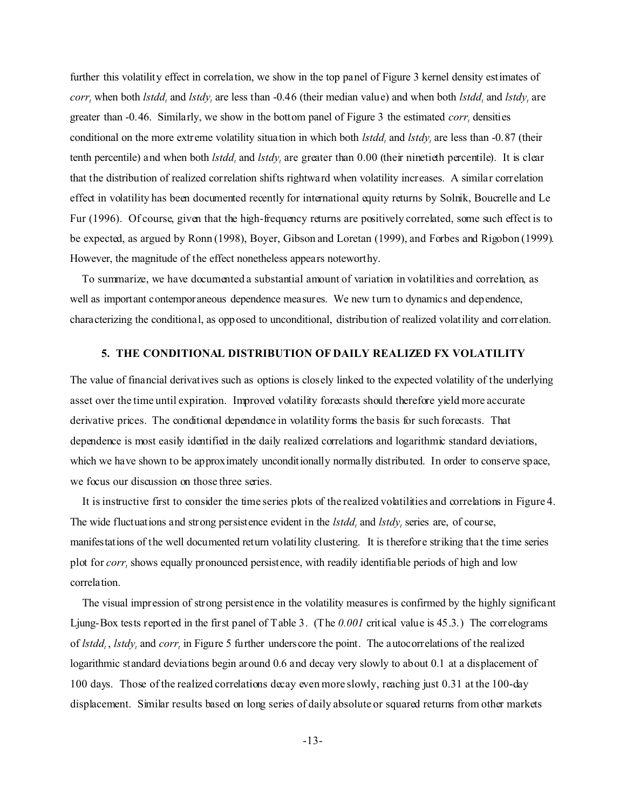further this volatility effect in correlation, we show in the top panel of Figure 3 kernel density estimates of *corr*<sub>t</sub> when both *lstdd*<sub>*t*</sub> and *lstdy*<sub>*t*</sub> are less than -0.46 (their median value) and when both *lstdd*<sub>*t*</sub> and *lstdy*<sub>*t*</sub> are greater than -0.46. Similarly, we show in the bottom panel of Figure 3 the estimated *corr<sup>t</sup>* densities conditional on the more extreme volatility situation in which both *lstdd<sup>t</sup>* and *lstdy<sup>t</sup>* are less than -0.87 (their tenth percentile) and when both *lstdd<sub>t</sub>* and *lstdy<sub>t</sub>* are greater than 0.00 (their ninetieth percentile). It is clear that the distribution of realized correlation shifts rightward when volatility increases. A similar correlation effect in volatility has been documented recently for international equity returns by Solnik, Boucrelle and Le Fur (1996). Of course, given that the high-frequency returns are positively correlated, some such effect is to be expected, as argued by Ronn (1998), Boyer, Gibson and Loretan (1999), and Forbes and Rigobon (1999). However, the magnitude of the effect nonetheless appears noteworthy.

 To summarize, we have documented a substantial amount of variation in volatilities and correlation, as well as important contemporaneous dependence measures. We new turn to dynamics and dependence, characterizing the conditional, as opposed to unconditional, distribution of realized volatility and correlation.

## **5. THE CONDITIONAL DISTRIBUTION OF DAILY REALIZED FX VOLATILITY**

The value of financial derivatives such as options is closely linked to the expected volatility of the underlying asset over the time until expiration. Improved volatility forecasts should therefore yield more accurate derivative prices. The conditional dependence in volatility forms the basis for such forecasts. That dependence is most easily identified in the daily realized correlations and logarithmic standard deviations, which we have shown to be approximately unconditionally normally distributed. In order to conserve space, we focus our discussion on those three series.

 It is instructive first to consider the time series plots of the realized volatilities and correlations in Figure 4. The wide fluctuations and strong persistence evident in the *lstdd<sub>t</sub>* and *lstdy<sub>t</sub>* series are, of course, manifestations of the well documented return volatility clustering. It is therefore striking that the time series plot for *corr<sub>t</sub>* shows equally pronounced persistence, with readily identifiable periods of high and low correlation.

 The visual impression of strong persistence in the volatility measures is confirmed by the highly significant Ljung-Box tests reported in the first panel of Table 3. (The *0.001* critical value is 45.3.) The correlograms of *lstdd<sub>t</sub>*, *lstdy<sub>t</sub>* and *corr<sub>t</sub>* in Figure 5 further underscore the point. The autocorrelations of the realized logarithmic standard deviations begin around 0.6 and decay very slowly to about 0.1 at a displacement of 100 days. Those of the realized correlations decay even more slowly, reaching just 0.31 at the 100-day displacement. Similar results based on long series of daily absolute or squared returns from other markets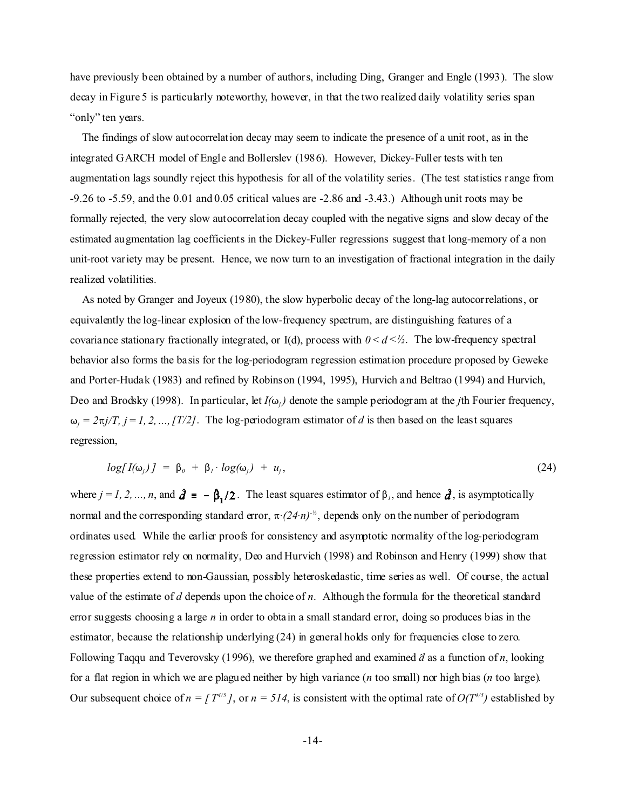have previously been obtained by a number of authors, including Ding, Granger and Engle (1993). The slow decay in Figure 5 is particularly noteworthy, however, in that the two realized daily volatility series span "only" ten years.

 The findings of slow autocorrelation decay may seem to indicate the presence of a unit root, as in the integrated GARCH model of Engle and Bollerslev (1986). However, Dickey-Fuller tests with ten augmentation lags soundly reject this hypothesis for all of the volatility series. (The test statistics range from -9.26 to -5.59, and the 0.01 and 0.05 critical values are -2.86 and -3.43.) Although unit roots may be formally rejected, the very slow autocorrelation decay coupled with the negative signs and slow decay of the estimated augmentation lag coefficients in the Dickey-Fuller regressions suggest that long-memory of a non unit-root variety may be present. Hence, we now turn to an investigation of fractional integration in the daily realized volatilities.

 As noted by Granger and Joyeux (1980), the slow hyperbolic decay of the long-lag autocorrelations, or equivalently the log-linear explosion of the low-frequency spectrum, are distinguishing features of a covariance stationary fractionally integrated, or I(d), process with  $0 < d < \frac{1}{2}$ . The low-frequency spectral behavior also forms the basis for the log-periodogram regression estimation procedure proposed by Geweke and Porter-Hudak (1983) and refined by Robinson (1994, 1995), Hurvich and Beltrao (1994) and Hurvich, Deo and Brodsky (1998). In particular, let  $I(\omega_i)$  denote the sample periodogram at the *j*th Fourier frequency,  $\omega_j = 2\pi j/T$ ,  $j = 1, 2, \dots, [T/2]$ . The log-periodogram estimator of *d* is then based on the least squares regression,

$$
log[I(\omega_j)] = \beta_0 + \beta_1 \cdot log(\omega_j) + u_j,
$$
\n(24)

where  $j = 1, 2, ..., n$ , and  $\hat{d} = -\beta_1/2$ . The least squares estimator of  $\beta_1$ , and hence  $\hat{d}$ , is asymptotically normal and the corresponding standard error,  $\pi$ *(24* $\cdot$ *n)<sup>-1/2</sup>*, depends only on the number of periodogram ordinates used. While the earlier proofs for consistency and asymptotic normality of the log-periodogram regression estimator rely on normality, Deo and Hurvich (1998) and Robinson and Henry (1999) show that these properties extend to non-Gaussian, possibly heteroskedastic, time series as well. Of course, the actual value of the estimate of *d* depends upon the choice of *n*. Although the formula for the theoretical standard error suggests choosing a large *n* in order to obtain a small standard error, doing so produces bias in the estimator, because the relationship underlying (24) in general holds only for frequencies close to zero. Following Taqqu and Teverovsky (1996), we therefore graphed and examined  $\partial$  as a function of *n*, looking for a flat region in which we are plagued neither by high variance (*n* too small) nor high bias (*n* too large). Our subsequent choice of  $n = [T^{4/5}]$ , or  $n = 514$ , is consistent with the optimal rate of  $O(T^{4/5})$  established by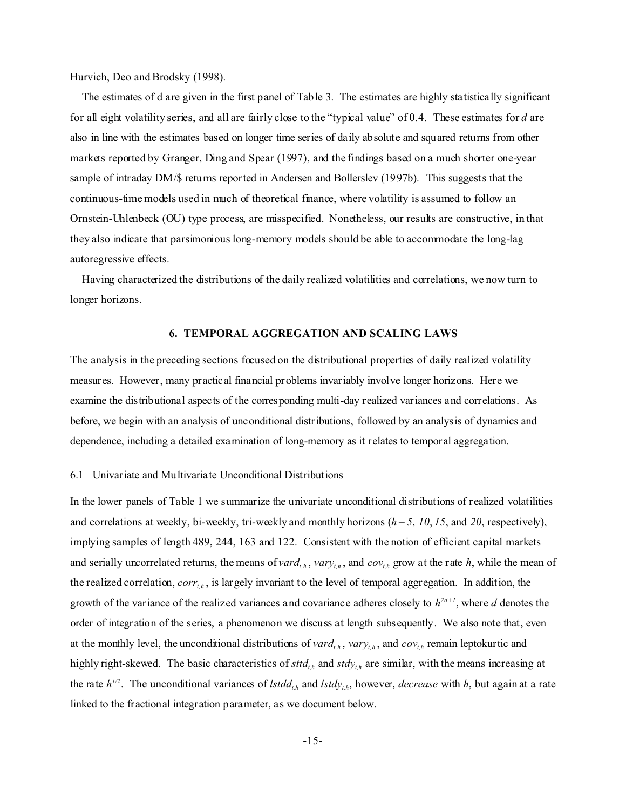Hurvich, Deo and Brodsky (1998).

 The estimates of d are given in the first panel of Table 3. The estimates are highly statistically significant for all eight volatility series, and all are fairly close to the "typical value" of 0.4. These estimates for *d* are also in line with the estimates based on longer time series of daily absolute and squared returns from other markets reported by Granger, Ding and Spear (1997), and the findings based on a much shorter one-year sample of intraday DM/\$ returns reported in Andersen and Bollerslev (1997b). This suggests that the continuous-time models used in much of theoretical finance, where volatility is assumed to follow an Ornstein-Uhlenbeck (OU) type process, are misspecified. Nonetheless, our results are constructive, in that they also indicate that parsimonious long-memory models should be able to accommodate the long-lag autoregressive effects.

 Having characterized the distributions of the daily realized volatilities and correlations, we now turn to longer horizons.

## **6. TEMPORAL AGGREGATION AND SCALING LAWS**

The analysis in the preceding sections focused on the distributional properties of daily realized volatility measures. However, many practical financial problems invariably involve longer horizons. Here we examine the distributional aspects of the corresponding multi-day realized variances and correlations. As before, we begin with an analysis of unconditional distributions, followed by an analysis of dynamics and dependence, including a detailed examination of long-memory as it relates to temporal aggregation.

## 6.1 Univariate and Multivariate Unconditional Distributions

In the lower panels of Table 1 we summarize the univariate unconditional distributions of realized volatilities and correlations at weekly, bi-weekly, tri-weekly and monthly horizons  $(h = 5, 10, 15,$  and  $20$ , respectively), implying samples of length 489, 244, 163 and 122. Consistent with the notion of efficient capital markets and serially uncorrelated returns, the means of *vard*<sub>*th*</sub>, *vary*<sub>*th*</sub>, and *cov*<sub>*th*</sub> grow at the rate *h*, while the mean of the realized correlation, *corrt,h* , is largely invariant to the level of temporal aggregation. In addition, the growth of the variance of the realized variances and covariance adheres closely to  $h^{2d+1}$ , where *d* denotes the order of integration of the series, a phenomenon we discuss at length subsequently. We also note that, even at the monthly level, the unconditional distributions of  $vard_{th}$ ,  $vary_{th}$ , and  $cov_{th}$  remain leptokurtic and highly right-skewed. The basic characteristics of *sttdt,h* and *stdyt,h* are similar, with the means increasing at the rate  $h^{1/2}$ . The unconditional variances of *lstdd*<sub>*th*</sub> and *lstdy*<sub>*th*</sub>, however, *decrease* with *h*, but again at a rate linked to the fractional integration parameter, as we document below.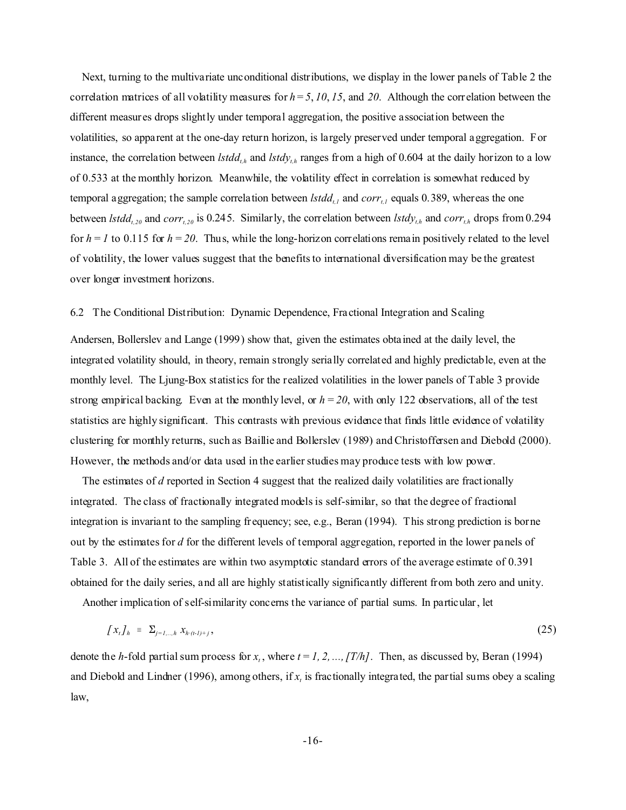Next, turning to the multivariate unconditional distributions, we display in the lower panels of Table 2 the correlation matrices of all volatility measures for  $h = 5$ ,  $10$ ,  $15$ , and  $20$ . Although the correlation between the different measures drops slightly under temporal aggregation, the positive association between the volatilities, so apparent at the one-day return horizon, is largely preserved under temporal aggregation. For instance, the correlation between *lstddt,h* and *lstdyt,h* ranges from a high of 0.604 at the daily horizon to a low of 0.533 at the monthly horizon. Meanwhile, the volatility effect in correlation is somewhat reduced by temporal aggregation; the sample correlation between *lstddt,1* and *corrt,1* equals 0.389, whereas the one between *lstdd*<sub>t,20</sub> and *corr*<sub>t,20</sub> is 0.245. Similarly, the correlation between *lstdy*<sub>*th*</sub> and *corr*<sub>*th*</sub> drops from 0.294 for  $h = 1$  to 0.115 for  $h = 20$ . Thus, while the long-horizon correlations remain positively related to the level of volatility, the lower values suggest that the benefits to international diversification may be the greatest over longer investment horizons.

## 6.2 The Conditional Distribution: Dynamic Dependence, Fractional Integration and Scaling

Andersen, Bollerslev and Lange (1999) show that, given the estimates obtained at the daily level, the integrated volatility should, in theory, remain strongly serially correlated and highly predictable, even at the monthly level. The Ljung-Box statistics for the realized volatilities in the lower panels of Table 3 provide strong empirical backing. Even at the monthly level, or  $h = 20$ , with only 122 observations, all of the test statistics are highly significant. This contrasts with previous evidence that finds little evidence of volatility clustering for monthly returns, such as Baillie and Bollerslev (1989) and Christoffersen and Diebold (2000). However, the methods and/or data used in the earlier studies may produce tests with low power.

 The estimates of *d* reported in Section 4 suggest that the realized daily volatilities are fractionally integrated. The class of fractionally integrated models is self-similar, so that the degree of fractional integration is invariant to the sampling frequency; see, e.g., Beran (1994). This strong prediction is borne out by the estimates for *d* for the different levels of temporal aggregation, reported in the lower panels of Table 3. All of the estimates are within two asymptotic standard errors of the average estimate of 0.391 obtained for the daily series, and all are highly statistically significantly different from both zero and unity.

Another implication of self-similarity concerns the variance of partial sums. In particular, let

$$
\left\{x_{t}\right\}_{h} = \sum_{j=1,\ldots,h} x_{h\cdot(t-1)+j},\tag{25}
$$

denote the *h*-fold partial sum process for  $x_t$ , where  $t = 1, 2, ..., |T/h|$ . Then, as discussed by, Beran (1994) and Diebold and Lindner (1996), among others, if *x<sup>t</sup>* is fractionally integrated, the partial sums obey a scaling law,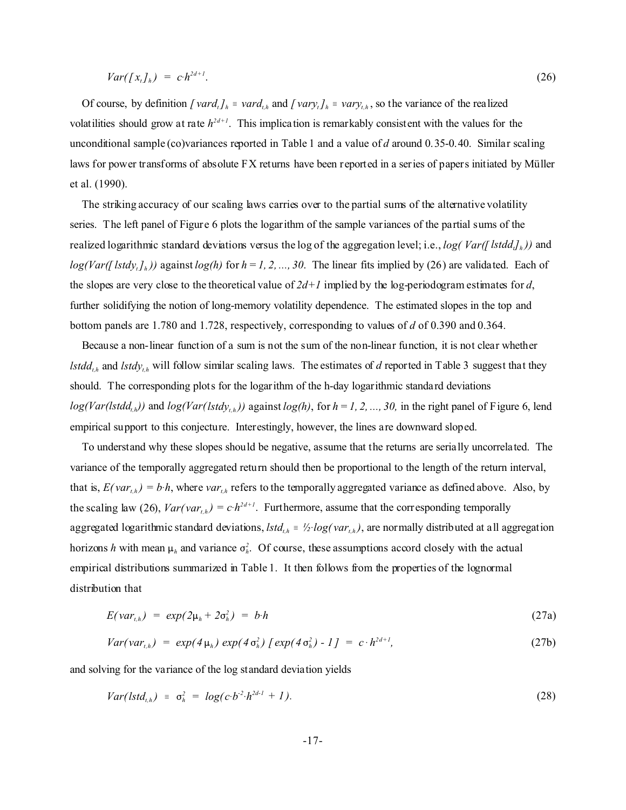$$
Var([x_t]_h) = c \cdot h^{2d+1}.\tag{26}
$$

Of course, by definition  $\int \text{var} d_t f_h = \text{var} d_{t,h}$  and  $\int \text{var} y_t f_h = \text{var} y_{t,h}$ , so the variance of the realized volatilities should grow at rate *h 2d+1*. This implication is remarkably consistent with the values for the unconditional sample (co)variances reported in Table 1 and a value of *d* around 0.35-0.40. Similar scaling laws for power transforms of absolute FX returns have been reported in a series of papers initiated by Müller et al. (1990).

 The striking accuracy of our scaling laws carries over to the partial sums of the alternative volatility series. The left panel of Figure 6 plots the logarithm of the sample variances of the partial sums of the realized logarithmic standard deviations versus the log of the aggregation level; i.e., *log( Var([lstdd<sup>t</sup> ]h ))* and  $log(Var([Istdy<sub>t</sub>]<sub>h</sub>))$  against  $log(h)$  for  $h = 1, 2, ..., 30$ . The linear fits implied by (26) are validated. Each of the slopes are very close to the theoretical value of  $2d+1$  implied by the log-periodogram estimates for *d*, further solidifying the notion of long-memory volatility dependence. The estimated slopes in the top and bottom panels are 1.780 and 1.728, respectively, corresponding to values of *d* of 0.390 and 0.364.

 Because a non-linear function of a sum is not the sum of the non-linear function, it is not clear whether *lstddt,h* and *lstdyt,h* will follow similar scaling laws. The estimates of *d* reported in Table 3 suggest that they should. The corresponding plots for the logarithm of the h-day logarithmic standard deviations  $log(Var(Is t d_{t,h}))$  and  $log(Var(Is t d_{t,h}))$  against  $log(h)$ , for  $h = 1, 2, ..., 30$ , in the right panel of Figure 6, lend empirical support to this conjecture. Interestingly, however, the lines are downward sloped.

 To understand why these slopes should be negative, assume that the returns are serially uncorrelated. The variance of the temporally aggregated return should then be proportional to the length of the return interval, that is,  $E(var_{th}) = b \cdot h$ , where *var*<sub>th</sub> refers to the temporally aggregated variance as defined above. Also, by the scaling law (26),  $Var(var_{t,h}) = c \cdot h^{2d+1}$ . Furthermore, assume that the corresponding temporally aggregated logarithmic standard deviations,  $lstd_{th} = \frac{1}{2} log(var_{th})$ , are normally distributed at all aggregation horizons *h* with mean  $\mu_h$  and variance  $\sigma_h^2$ . Of course, these assumptions accord closely with the actual empirical distributions summarized in Table 1. It then follows from the properties of the lognormal distribution that

$$
E(\mathit{var}_{t,h}) = \exp(2\mu_h + 2\sigma_h^2) = b \cdot h \tag{27a}
$$

$$
Var(var_{t,h}) = exp(4\mu_h) exp(4\sigma_h^2) [exp(4\sigma_h^2) - 1] = c \cdot h^{2d+1}, \qquad (27b)
$$

and solving for the variance of the log standard deviation yields

$$
Var(lstd_{i,h}) = \sigma_h^2 = log(c \cdot b^{2} \cdot h^{2d-1} + 1). \tag{28}
$$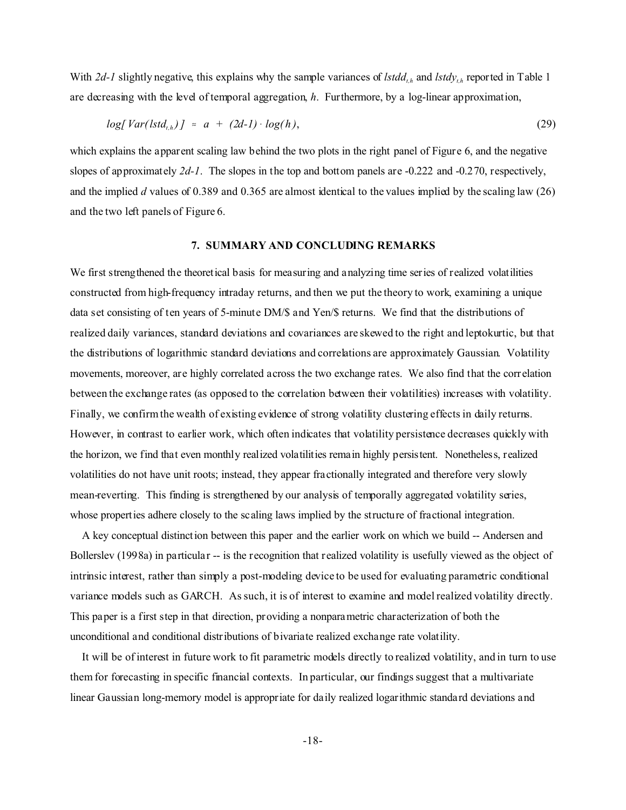With *2d-1* slightly negative, this explains why the sample variances of *lstddt,h* and *lstdyt,h* reported in Table 1 are decreasing with the level of temporal aggregation, *h*. Furthermore, by a log-linear approximation,

$$
log[Var(lstd_{t,h})] \approx a + (2d-1) \cdot log(h), \qquad (29)
$$

which explains the apparent scaling law behind the two plots in the right panel of Figure 6, and the negative slopes of approximately *2d-1*. The slopes in the top and bottom panels are -0.222 and -0.270, respectively, and the implied *d* values of 0.389 and 0.365 are almost identical to the values implied by the scaling law (26) and the two left panels of Figure 6.

#### **7. SUMMARY AND CONCLUDING REMARKS**

We first strengthened the theoretical basis for measuring and analyzing time series of realized volatilities constructed from high-frequency intraday returns, and then we put the theory to work, examining a unique data set consisting of ten years of 5-minute DM/\$ and Yen/\$ returns. We find that the distributions of realized daily variances, standard deviations and covariances are skewed to the right and leptokurtic, but that the distributions of logarithmic standard deviations and correlations are approximately Gaussian. Volatility movements, moreover, are highly correlated across the two exchange rates. We also find that the correlation between the exchange rates (as opposed to the correlation between their volatilities) increases with volatility. Finally, we confirm the wealth of existing evidence of strong volatility clustering effects in daily returns. However, in contrast to earlier work, which often indicates that volatility persistence decreases quickly with the horizon, we find that even monthly realized volatilities remain highly persistent. Nonetheless, realized volatilities do not have unit roots; instead, they appear fractionally integrated and therefore very slowly mean-reverting. This finding is strengthened by our analysis of temporally aggregated volatility series, whose properties adhere closely to the scaling laws implied by the structure of fractional integration.

 A key conceptual distinction between this paper and the earlier work on which we build -- Andersen and Bollerslev (1998a) in particular -- is the recognition that realized volatility is usefully viewed as the object of intrinsic interest, rather than simply a post-modeling device to be used for evaluating parametric conditional variance models such as GARCH. As such, it is of interest to examine and model realized volatility directly. This paper is a first step in that direction, providing a nonparametric characterization of both the unconditional and conditional distributions of bivariate realized exchange rate volatility.

 It will be of interest in future work to fit parametric models directly to realized volatility, and in turn to use them for forecasting in specific financial contexts. In particular, our findings suggest that a multivariate linear Gaussian long-memory model is appropriate for daily realized logarithmic standard deviations and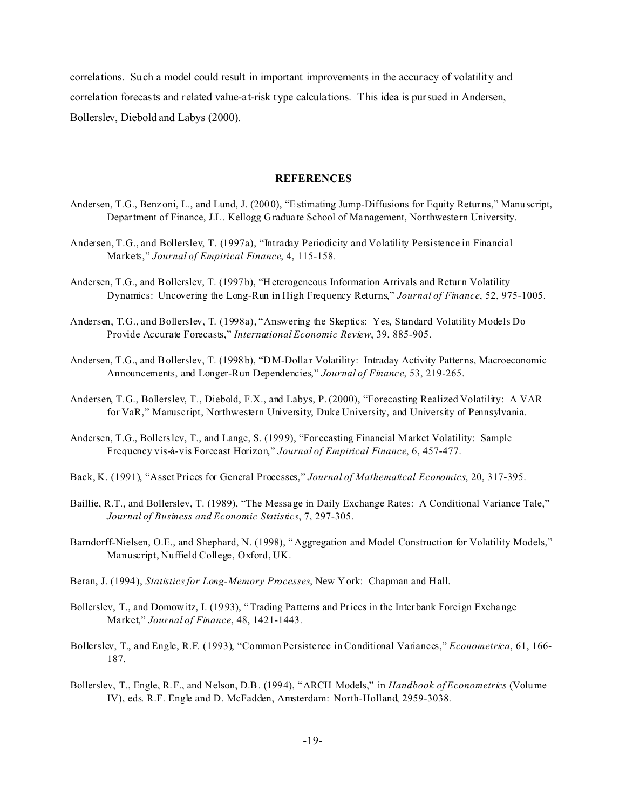correlations. Such a model could result in important improvements in the accuracy of volatility and correlation forecasts and related value-at-risk type calculations. This idea is pursued in Andersen, Bollerslev, Diebold and Labys (2000).

#### **REFERENCES**

- Andersen, T.G., Benzoni, L., and Lund, J. (2000), "Estimating Jump-Diffusions for Equity Returns," Manuscript, Department of Finance, J.L. Kellogg Gradua te School of Management, Northweste rn University.
- Andersen, T.G., and Bollerslev, T. (1997a), "Intraday Periodicity and Volatility Persistence in Financial Markets," *Journal of Empirical Finance*, 4, 115-158.
- Andersen, T.G., and Bollerslev, T. (1997b), "Heterogeneous Information Arrivals and Return Volatility Dynamics: Uncovering the Long-Run in High Frequency Returns," *Journal of Finance*, 52, 975-1005.
- Andersen, T.G., and Bollerslev, T. (1998a), "Answering the Skeptics: Yes, Standard Volatility Models Do Provide Accurate Forecasts," *International Economic Review*, 39, 885-905.
- Andersen, T.G., and Bollerslev, T. (1998b), "DM-Dollar Volatility: Intraday Activity Patterns, Macroeconomic Announcements, and Longer-Run Dependencies," *Journal of Finance*, 53, 219-265.
- Andersen, T.G., Bollerslev, T., Diebold, F.X., and Labys, P. (2000), "Forecasting Realized Volatility: A VAR for VaR," Manuscript, Northwestern University, Duke University, and University of Pennsylvania.
- Andersen, T.G., Bollerslev, T., and Lange, S. (1999), "For ecasting Financial Market Volatility: Sample Frequency vis-à-vis Forecast Horizon," *Journal of Empirical Finance*, 6, 457-477.
- Back, K. (1991), "Asset Prices for General Processes," *Journal of Mathematical Economics*, 20, 317-395.
- Baillie, R.T., and Bollerslev, T. (1989), "The Messa ge in Daily Exchange Rates: A Conditional Variance Tale," *Journal of Business and Economic Statistics*, 7, 297-305.
- Barndorff-Nielsen, O.E., and Shephard, N. (1998), " Aggregation and Model Construction for Volatility Models," Manuscript, Nuffield College, Oxford, UK.
- Beran, J. (1994), *Statistics for Long-Memory Processes*, New York: Chapman and Hall.
- Bollerslev, T., and Domowitz, I. (19 93), "Trading Pa tterns and Prices in the Interbank Foreign Exchange Market," *Journal of Finance*, 48, 1421-1443.
- Bollerslev, T., and Engle, R.F. (1993), "Common Persistence in Conditional Variances," *Econometrica*, 61, 166- 187.
- Bollerslev, T., Engle, R.F., and Nelson, D.B. (1994), "ARCH Models," in *Handbook of Econometrics* (Volume IV), eds. R.F. Engle and D. McFadden, Amsterdam: North-Holland, 2959-3038.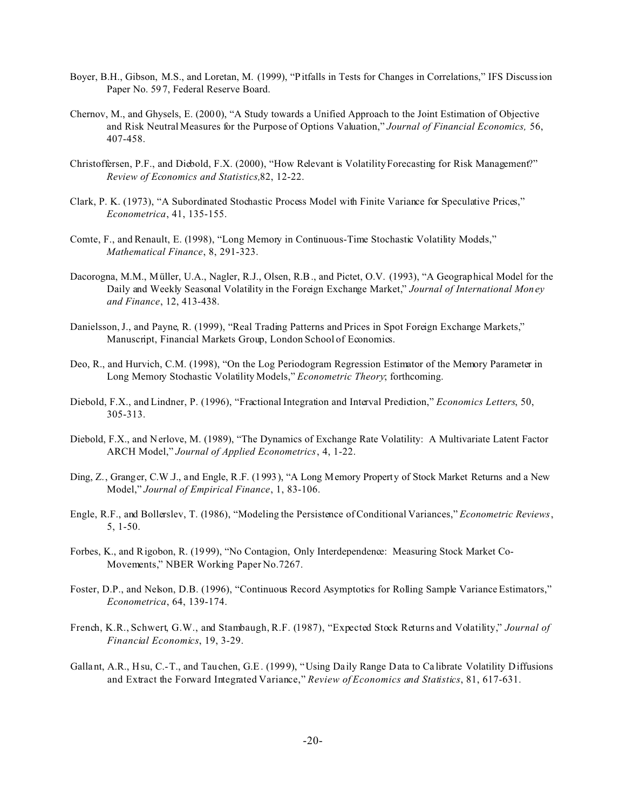- Boyer, B.H., Gibson, M.S., and Loretan, M. (1999), "Pitfalls in Tests for Changes in Correlations," IFS Discussion Paper No. 59 7, Federal Reserve Board.
- Chernov, M., and Ghysels, E. (2000), "A Study towards a Unified Approach to the Joint Estimation of Objective and Risk Neutral Measures for the Purpose of Options Valuation," *Journal of Financial Economics,* 56, 407-458.
- Christoffersen, P.F., and Diebold, F.X. (2000), "How Relevant is Volatility Forecasting for Risk Management?" *Review of Economics and Statistics,*82, 12-22.
- Clark, P. K. (1973), "A Subordinated Stochastic Process Model with Finite Variance for Speculative Prices," *Econometrica*, 41, 135-155.
- Comte, F., and Renault, E. (1998), "Long Memory in Continuous-Time Stochastic Volatility Models," *Mathematical Finance*, 8, 291-323.
- Dacorogna, M.M., Müller, U.A., Nagler, R.J., Olsen, R.B., and Pictet, O.V. (1993), "A Geographical Model for the Daily and Weekly Seasonal Volatility in the Foreign Exchange Market," *Journal of International Money and Finance*, 12, 413-438.
- Danielsson, J., and Payne, R. (1999), "Real Trading Patterns and Prices in Spot Foreign Exchange Markets," Manuscript, Financial Markets Group, London School of Economics.
- Deo, R., and Hurvich, C.M. (1998), "On the Log Periodogram Regression Estimator of the Memory Parameter in Long Memory Stochastic Volatility Models," *Econometric Theory*; forthcoming.
- Diebold, F.X., and Lindner, P. (1996), "Fractional Integration and Interval Prediction," *Economics Letters*, 50, 305-313.
- Diebold, F.X., and Nerlove, M. (1989), "The Dynamics of Exchange Rate Volatility: A Multivariate Latent Factor ARCH Model," *Journal of Applied Econometrics*, 4, 1-22.
- Ding, Z., Granger, C.W.J., and Engle, R.F. (1993), "A Long Memory Property of Stock Market Returns and a New Model," *Journal of Empirical Finance*, 1, 83-106.
- Engle, R.F., and Bollerslev, T. (1986), "Modeling the Persistence of Conditional Variances," *Econometric Reviews*, 5, 1-50.
- Forbes, K., and Rigobon, R. (1999), "No Contagion, Only Interdependence: Measuring Stock Market Co-Movements," NBER Working Paper No.7267.
- Foster, D.P., and Nelson, D.B. (1996), "Continuous Record Asymptotics for Rolling Sample Variance Estimators," *Econometrica*, 64, 139-174.
- French, K.R., Schwert, G.W., and Stambaugh, R.F. (1987), "Expected Stock Returns and Volatility," *Journal of Financial Economics*, 19, 3-29.
- Gallant, A.R., Hsu, C.-T., and Tauchen, G.E. (1999), "Using Daily Range Data to Calibrate Volatility Diffusions and Extract the Forward Integrated Variance," *Review of Economics and Statistics*, 81, 617-631.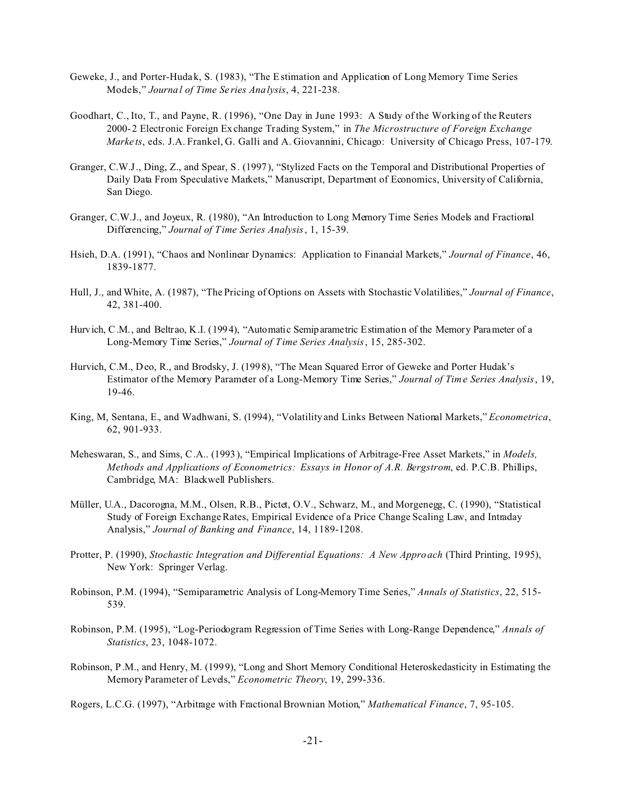- Geweke, J., and Porter-Hudak, S. (1983), "The Estimation and Application of Long Memory Time Series Models," *Journal of Time Se ries Analysis*, 4, 221-238.
- Goodhart, C., Ito, T., and Payne, R. (1996), "One Day in June 1993: A Study of the Working of the Reuters 2000-2 Electronic Foreign Exchange Trading System," in *The Microstructure of Foreign Exchange Marke ts*, eds. J.A. Frankel, G. Galli and A. Giovannini, Chicago: University of Chicago Press, 107-179.
- Granger, C.W.J., Ding, Z., and Spear, S. (1997), "Stylized Facts on the Temporal and Distributional Properties of Daily Data From Speculative Markets," Manuscript, Department of Economics, University of California, San Diego.
- Granger, C.W.J., and Joyeux, R. (1980), "An Introduction to Long Memory Time Series Models and Fractional Differencing," *Journal of Time Series Analysis*, 1, 15-39.
- Hsieh, D.A. (1991), "Chaos and Nonlinear Dynamics: Application to Financial Markets," *Journal of Finance*, 46, 1839-1877.
- Hull, J., and White, A. (1987), "The Pricing of Options on Assets with Stochastic Volatilities," *Journal of Finance*, 42, 381-400.
- Hurvich, C.M., and Beltrao, K.I. (1994), "Automatic Semiparametric Estimation of the Memory Parameter of a Long-Memory Time Series," *Journal of Time Series Analysis*, 15, 285-302.
- Hurvich, C.M., Deo, R., and Brodsky, J. (199 8), "The Mean Squared Error of Geweke and Porter Hudak's Estimator of the Memory Parameter of a Long-Memory Time Series," *Journal of Time Series Analysis*, 19, 19-46.
- King, M, Sentana, E., and Wadhwani, S. (1994), "Volatility and Links Between National Markets," *Econometrica*, 62, 901-933.
- Meheswaran, S., and Sims, C.A.. (1993), "Empirical Implications of Arbitrage-Free Asset Markets," in *Models, Methods and Applications of Econometrics: Essays in Honor of A.R. Bergstrom*, ed. P.C.B. Phillips, Cambridge, MA: Blackwell Publishers.
- Müller, U.A., Dacorogna, M.M., Olsen, R.B., Pictet, O.V., Schwarz, M., and Morgenegg, C. (1990), "Statistical Study of Foreign Exchange Rates, Empirical Evidence of a Price Change Scaling Law, and Intraday Analysis," *Journal of Banking and Finance*, 14, 1189-1208.
- Protter, P. (1990), *Stochastic Integration and Differential Equations: A New Approach* (Third Printing, 1995), New York: Springer Verlag.
- Robinson, P.M. (1994), "Semiparametric Analysis of Long-Memory Time Series," *Annals of Statistics*, 22, 515- 539.
- Robinson, P.M. (1995), "Log-Periodogram Regression of Time Series with Long-Range Dependence," *Annals of Statistics*, 23, 1048-1072.
- Robinson, P.M., and Henry, M. (1999), "Long and Short Memory Conditional Heteroskedasticity in Estimating the Memory Parameter of Levels," *Econometric Theory*, 19, 299-336.

Rogers, L.C.G. (1997), "Arbitrage with Fractional Brownian Motion," *Mathematical Finance*, 7, 95-105.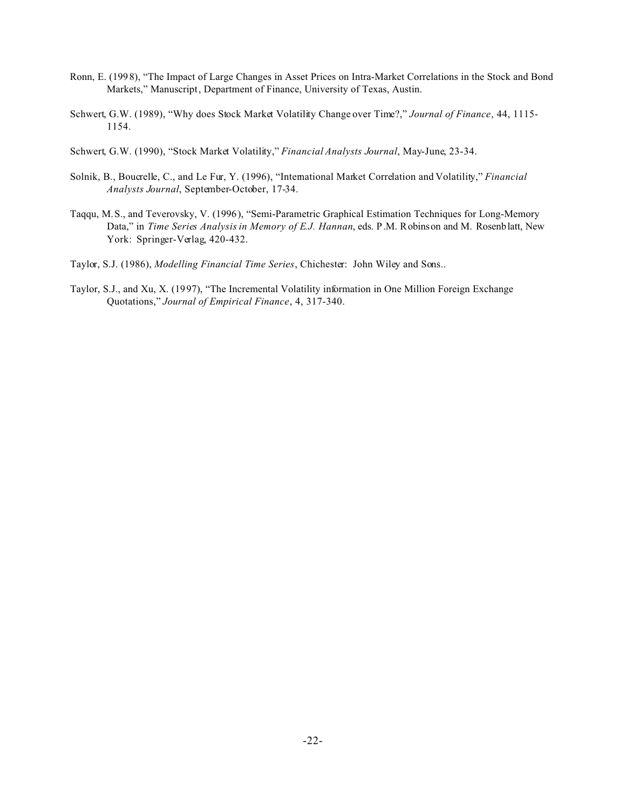- Ronn, E. (1998), "The Impact of Large Changes in Asset Prices on Intra-Market Correlations in the Stock and Bond Markets," Manuscript, Department of Finance, University of Texas, Austin.
- Schwert, G.W. (1989), "Why does Stock Market Volatility Change over Time?," *Journal of Finance*, 44, 1115- 1154.
- Schwert, G.W. (1990), "Stock Market Volatility," *Financial Analysts Journal*, May-June, 23-34.
- Solnik, B., Boucrelle, C., and Le Fur, Y. (1996), "International Market Correlation and Volatility," *Financial Analysts Journal*, September-October, 17-34.
- Taqqu, M.S., and Teverovsky, V. (1996), "Semi-Parametric Graphical Estimation Techniques for Long-Memory Data," in *Time Series Analysis in Memory of E.J. Hannan*, eds. P.M. Robinson and M. Rosenblatt, New York: Springer-Verlag, 420-432.
- Taylor, S.J. (1986), *Modelling Financial Time Series*, Chichester: John Wiley and Sons..
- Taylor, S.J., and Xu, X. (1997), "The Incremental Volatility information in One Million Foreign Exchange Quotations," *Journal of Empirical Finance*, 4, 317-340.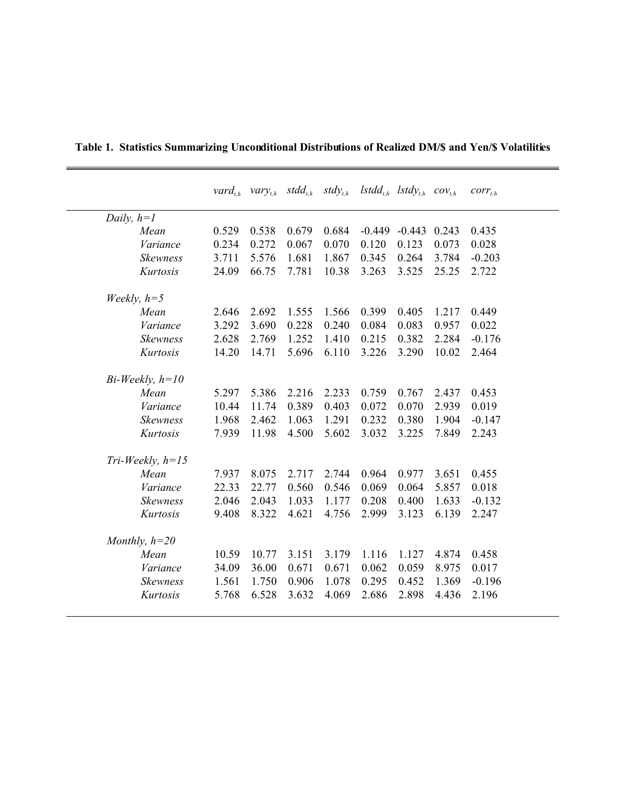|                   |                    |       | $\mathit{vard}_{th}$ $\mathit{vary}_{th}$ $\mathit{stdd}_{th}$ |       | $stdy_{t,h}$ |                  | $Istdd_{th}$ lstdy <sub>th</sub> cov <sub>th</sub> |       | $corr_{t,h}$ |
|-------------------|--------------------|-------|----------------------------------------------------------------|-------|--------------|------------------|----------------------------------------------------|-------|--------------|
|                   | Daily, $h=1$       |       |                                                                |       |              |                  |                                                    |       |              |
|                   | Mean               | 0.529 | 0.538                                                          | 0.679 | 0.684        | $-0.449 - 0.443$ |                                                    | 0.243 | 0.435        |
|                   | Variance           | 0.234 | 0.272                                                          | 0.067 | 0.070        | 0.120            | 0.123                                              | 0.073 | 0.028        |
|                   | Skewness           | 3.711 | 5.576                                                          | 1.681 | 1.867        | 0.345            | 0.264                                              | 3.784 | $-0.203$     |
|                   | Kurtosis           | 24.09 | 66.75                                                          | 7.781 | 10.38        | 3.263            | 3.525                                              | 25.25 | 2.722        |
| Weekly, $h=5$     |                    |       |                                                                |       |              |                  |                                                    |       |              |
|                   | Mean               | 2.646 | 2.692                                                          | 1.555 | 1.566        | 0.399            | 0.405                                              | 1.217 | 0.449        |
|                   | Variance           | 3.292 | 3.690                                                          | 0.228 | 0.240        | 0.084            | 0.083                                              | 0.957 | 0.022        |
|                   | <b>Skewness</b>    | 2.628 | 2.769                                                          | 1.252 | 1.410        | 0.215            | 0.382                                              | 2.284 | $-0.176$     |
|                   | Kurtosis           | 14.20 | 14.71                                                          | 5.696 | 6.110        | 3.226            | 3.290                                              | 10.02 | 2.464        |
| $Bi-Weekly, h=10$ |                    |       |                                                                |       |              |                  |                                                    |       |              |
|                   | Mean               | 5.297 | 5.386                                                          | 2.216 | 2.233        | 0.759            | 0.767                                              | 2.437 | 0.453        |
|                   | Variance           | 10.44 | 11.74                                                          | 0.389 | 0.403        | 0.072            | 0.070                                              | 2.939 | 0.019        |
|                   | <b>Skewness</b>    | 1.968 | 2.462                                                          | 1.063 | 1.291        | 0.232            | 0.380                                              | 1.904 | $-0.147$     |
|                   | Kurtosis           | 7.939 | 11.98                                                          | 4.500 | 5.602        | 3.032            | 3.225                                              | 7.849 | 2.243        |
|                   | $Tri-Weekly, h=15$ |       |                                                                |       |              |                  |                                                    |       |              |
|                   | Mean               | 7.937 | 8.075                                                          | 2.717 | 2.744        | 0.964            | 0.977                                              | 3.651 | 0.455        |
|                   | Variance           | 22.33 | 22.77                                                          | 0.560 | 0.546        | 0.069            | 0.064                                              | 5.857 | 0.018        |
|                   | <b>Skewness</b>    | 2.046 | 2.043                                                          | 1.033 | 1.177        | 0.208            | 0.400                                              | 1.633 | $-0.132$     |
|                   | Kurtosis           | 9.408 | 8.322                                                          | 4.621 | 4.756        | 2.999            | 3.123                                              | 6.139 | 2.247        |
| Monthly, $h=20$   |                    |       |                                                                |       |              |                  |                                                    |       |              |
|                   | Mean               | 10.59 | 10.77                                                          | 3.151 | 3.179        | 1.116            | 1.127                                              | 4.874 | 0.458        |
|                   | Variance           | 34.09 | 36.00                                                          | 0.671 | 0.671        | 0.062            | 0.059                                              | 8.975 | 0.017        |
|                   | <b>Skewness</b>    | 1.561 | 1.750                                                          | 0.906 | 1.078        | 0.295            | 0.452                                              | 1.369 | $-0.196$     |
|                   | Kurtosis           | 5.768 | 6.528                                                          | 3.632 | 4.069        | 2.686            | 2.898                                              | 4.436 | 2.196        |
|                   |                    |       |                                                                |       |              |                  |                                                    |       |              |

**Table 1. Statistics Summarizing Unconditional Distributions of Realized DM/\$ and Yen/\$ Volatilities**

 $\overline{\phantom{0}}$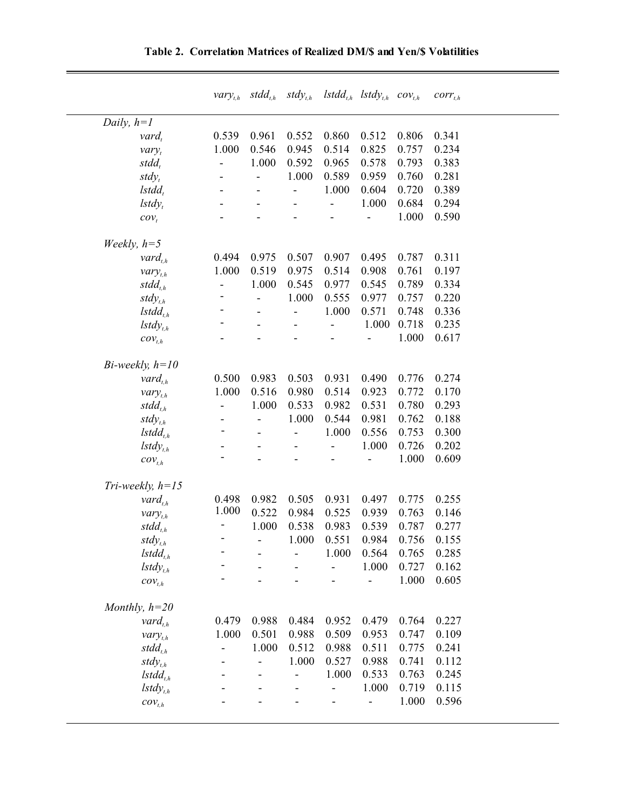|                       |                              |                              |                          | $vary_{t,h}$ stdd <sub>t,h</sub> stdy <sub>t,h</sub> lstdd <sub>t,h</sub> lstdy <sub>t,h</sub> cov <sub>t,h</sub> |       |       | $corr_{t,h}$ |
|-----------------------|------------------------------|------------------------------|--------------------------|-------------------------------------------------------------------------------------------------------------------|-------|-------|--------------|
| Daily, $h=1$          |                              |                              |                          |                                                                                                                   |       |       |              |
| $\nu$ ard,            | 0.539                        | 0.961                        | 0.552                    | 0.860                                                                                                             | 0.512 | 0.806 | 0.341        |
| vary <sub>t</sub>     | 1.000                        | 0.546                        | 0.945                    | 0.514                                                                                                             | 0.825 | 0.757 | 0.234        |
| $stdd_{t}$            | $\overline{a}$               | 1.000                        | 0.592                    | 0.965                                                                                                             | 0.578 | 0.793 | 0.383        |
| $stdy_t$              |                              | $\overline{a}$               | 1.000                    | 0.589                                                                                                             | 0.959 | 0.760 | 0.281        |
| $\,I\,std\,_t$        |                              |                              | $\overline{\phantom{0}}$ | 1.000                                                                                                             | 0.604 | 0.720 | 0.389        |
| $lstdy_t$             |                              |                              |                          |                                                                                                                   | 1.000 | 0.684 | 0.294        |
| $cov_t$               |                              |                              |                          |                                                                                                                   |       | 1.000 | 0.590        |
| Weekly, $h=5$         |                              |                              |                          |                                                                                                                   |       |       |              |
| $\mathit{vard}_{t,h}$ | 0.494                        | 0.975                        | 0.507                    | 0.907                                                                                                             | 0.495 | 0.787 | 0.311        |
| $vary_{t,h}$          | 1.000                        | 0.519                        | 0.975                    | 0.514                                                                                                             | 0.908 | 0.761 | 0.197        |
| $stdd_{th}$           | $\qquad \qquad \blacksquare$ | 1.000                        | 0.545                    | 0.977                                                                                                             | 0.545 | 0.789 | 0.334        |
| $stdy_{t,h}$          |                              | $\overline{\phantom{0}}$     | 1.000                    | 0.555                                                                                                             | 0.977 | 0.757 | 0.220        |
| $Istdd_{t,h}$         |                              |                              | ÷,                       | 1.000                                                                                                             | 0.571 | 0.748 | 0.336        |
| $lstdy_{th}$          |                              |                              |                          | $\overline{a}$                                                                                                    | 1.000 | 0.718 | 0.235        |
| $\mathcal{cov}_{t,h}$ |                              |                              |                          |                                                                                                                   |       | 1.000 | 0.617        |
| Bi-weekly, $h=10$     |                              |                              |                          |                                                                                                                   |       |       |              |
| $\mathit{vard}_{t,h}$ | 0.500                        | 0.983                        | 0.503                    | 0.931                                                                                                             | 0.490 | 0.776 | 0.274        |
| $vary_{t,h}$          | 1.000                        | 0.516                        | 0.980                    | 0.514                                                                                                             | 0.923 | 0.772 | 0.170        |
| $stdd_{t,h}$          | ÷                            | 1.000                        | 0.533                    | 0.982                                                                                                             | 0.531 | 0.780 | 0.293        |
| $stdy_{th}$           |                              | $\qquad \qquad \blacksquare$ | 1.000                    | 0.544                                                                                                             | 0.981 | 0.762 | 0.188        |
| $Istdd_{t,h}$         |                              |                              |                          | 1.000                                                                                                             | 0.556 | 0.753 | 0.300        |
| $lstdy_{t,h}$         |                              |                              |                          | $\overline{a}$                                                                                                    | 1.000 | 0.726 | 0.202        |
| $\mathcal{cov}_{t,h}$ |                              |                              |                          |                                                                                                                   |       | 1.000 | 0.609        |
| Tri-weekly, $h=15$    |                              |                              |                          |                                                                                                                   |       |       |              |
| $\mathit{vard}_{t,h}$ | 0.498                        | 0.982                        | 0.505                    | 0.931                                                                                                             | 0.497 | 0.775 | 0.255        |
| $vary_{t,h}$          | 1.000                        | 0.522                        | 0.984                    | 0.525                                                                                                             | 0.939 | 0.763 | 0.146        |
| $stdd_{th}$           | Ξ                            | 1.000                        | 0.538                    | 0.983                                                                                                             | 0.539 | 0.787 | 0.277        |
| $stdy_{t,h}$          |                              |                              |                          | 1.000  0.551                                                                                                      | 0.984 | 0.756 | 0.155        |
| $Istdd_{t,h}$         |                              |                              |                          | 1.000                                                                                                             | 0.564 | 0.765 | 0.285        |
| $lstdy_{t,h}$         |                              |                              |                          |                                                                                                                   | 1.000 | 0.727 | 0.162        |
| $\mathcal{cov}_{t,h}$ |                              |                              |                          |                                                                                                                   |       | 1.000 | 0.605        |
| Monthly, $h=20$       |                              |                              |                          |                                                                                                                   |       |       |              |
| $\mathit{vard}_{t,h}$ | 0.479                        | 0.988                        | 0.484                    | 0.952                                                                                                             | 0.479 | 0.764 | 0.227        |
| $vary_{t,h}$          | 1.000                        | 0.501                        | 0.988                    | 0.509                                                                                                             | 0.953 | 0.747 | 0.109        |
| $stdd_{th}$           |                              | 1.000                        | 0.512                    | 0.988                                                                                                             | 0.511 | 0.775 | 0.241        |
| $stdy_{th}$           |                              | ÷,                           | 1.000                    | 0.527                                                                                                             | 0.988 | 0.741 | 0.112        |
| $Istdd_{t,h}$         |                              |                              |                          | 1.000                                                                                                             | 0.533 | 0.763 | 0.245        |
| $lstdy_{t,h}$         |                              |                              |                          |                                                                                                                   | 1.000 | 0.719 | 0.115        |
| $\mathcal{cov}_{t,h}$ |                              |                              |                          |                                                                                                                   |       | 1.000 | 0.596        |
|                       |                              |                              |                          |                                                                                                                   |       |       |              |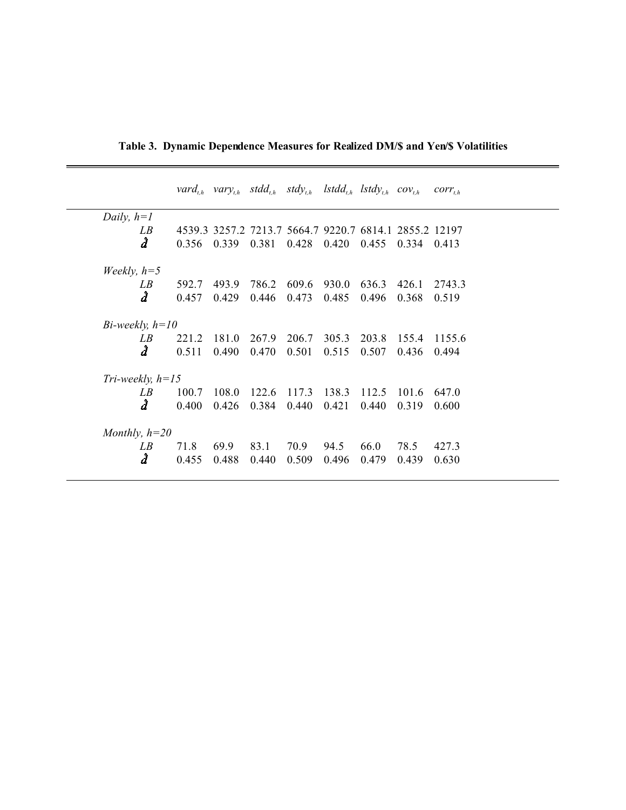|                      |       |       | $\text{vard}_{th}$ var $y_{th}$ stdd <sub>th</sub> stdy <sub>th</sub> lstdd <sub>th</sub> lstdy <sub>th</sub> cov <sub>th</sub> |             |       |       |       | $corr_{t,h}$ |  |
|----------------------|-------|-------|---------------------------------------------------------------------------------------------------------------------------------|-------------|-------|-------|-------|--------------|--|
| Daily, $h=1$         |       |       |                                                                                                                                 |             |       |       |       |              |  |
| LB                   |       |       | 4539.3 3257.2 7213.7 5664.7 9220.7 6814.1 2855.2 12197                                                                          |             |       |       |       |              |  |
| $\hat{d}$            | 0.356 | 0.339 | 0.381                                                                                                                           | 0.428       | 0.420 | 0.455 | 0.334 | 0.413        |  |
| Weekly, $h=5$        |       |       |                                                                                                                                 |             |       |       |       |              |  |
| LB                   | 592.7 | 493.9 | 786.2                                                                                                                           | 609.6       | 930.0 | 636.3 | 426.1 | 2743.3       |  |
| â                    | 0.457 | 0.429 | 0.446                                                                                                                           | 0.473       | 0.485 | 0.496 | 0.368 | 0.519        |  |
| $Bi$ -weekly, $h=10$ |       |       |                                                                                                                                 |             |       |       |       |              |  |
| LB                   | 221.2 | 181.0 | 267.9                                                                                                                           | 206.7       | 305.3 | 203.8 | 155.4 | 1155.6       |  |
| $\hat{d}$            | 0.511 | 0.490 | 0.470                                                                                                                           | 0.501       | 0.515 | 0.507 | 0.436 | 0.494        |  |
| Tri-weekly, $h=15$   |       |       |                                                                                                                                 |             |       |       |       |              |  |
| LB                   | 100.7 | 108.0 | 122.6                                                                                                                           | 117.3 138.3 |       | 112.5 | 101.6 | 647.0        |  |
| $\hat{d}$            | 0.400 | 0.426 | 0.384                                                                                                                           | 0.440       | 0.421 | 0.440 | 0.319 | 0.600        |  |
| Monthly, $h=20$      |       |       |                                                                                                                                 |             |       |       |       |              |  |
| LB                   | 71.8  | 69.9  | 83.1                                                                                                                            | 70.9        | 94.5  | 66.0  | 78.5  | 427.3        |  |
| $\hat{d}$            | 0.455 | 0.488 | 0.440                                                                                                                           | 0.509       | 0.496 | 0.479 | 0.439 | 0.630        |  |

**Table 3. Dynamic Dependence Measures for Realized DM/\$ and Yen/\$ Volatilities**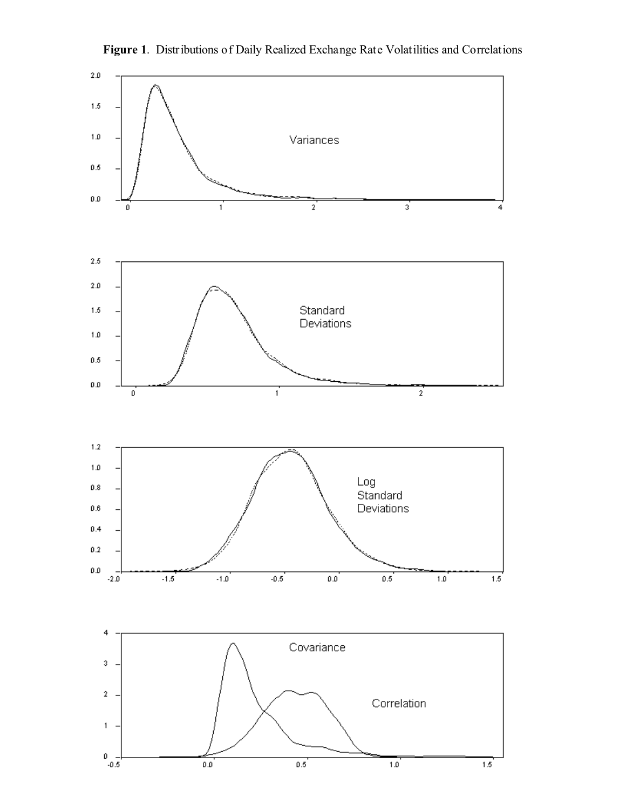

**Figure 1**. Distributions of Daily Realized Exchange Rate Volatilities and Correlations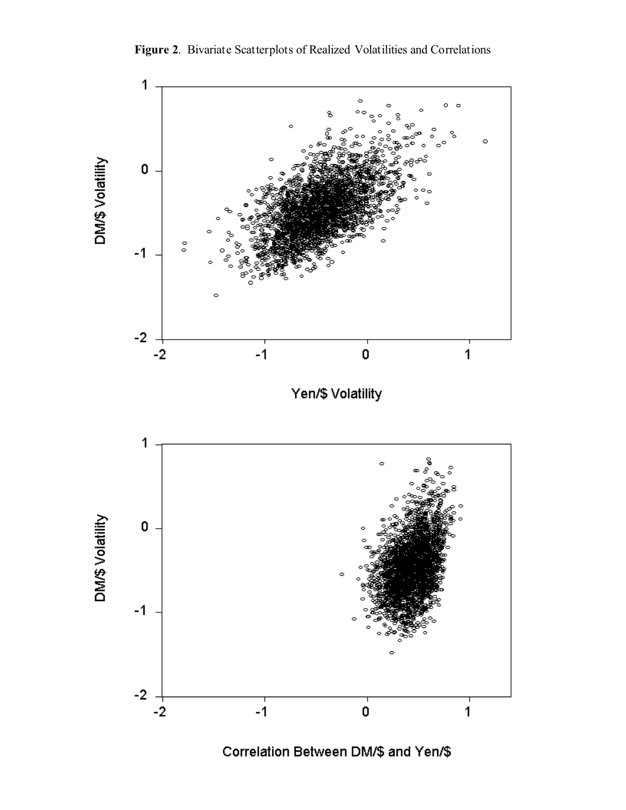



Correlation Between DM/\$ and Yen/\$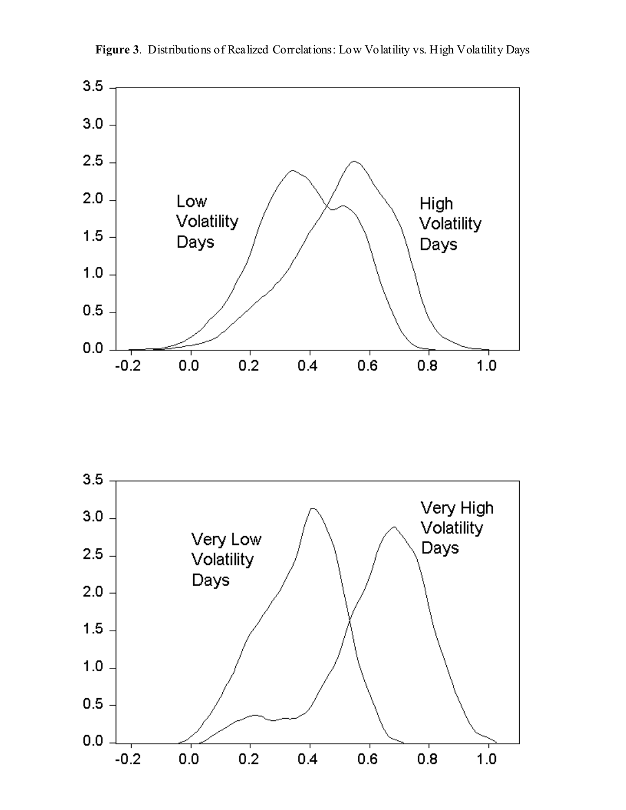

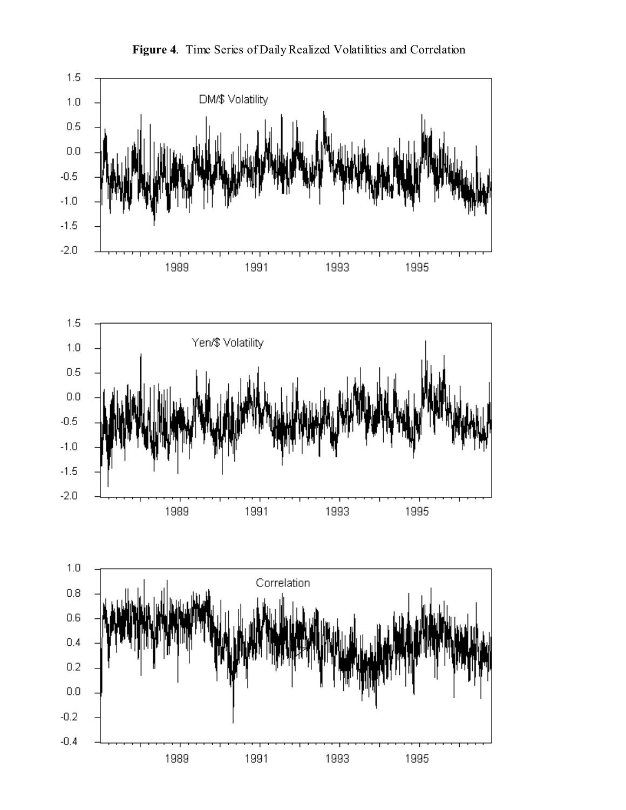

**Figure 4**. Time Series of Daily Realized Volatilities and Correlation